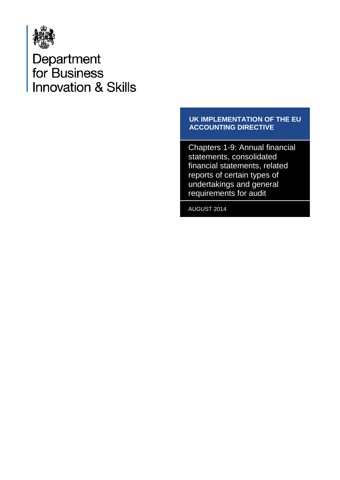

Department<br>for Business **Innovation & Skills** 

# **UK IMPLEMENTATION OF THE EU ACCOUNTING DIRECTIVE**

Chapters 1-9: Annual financial statements, consolidated financial statements, related reports of certain types of undertakings and general requirements for audit

AUGUST 2014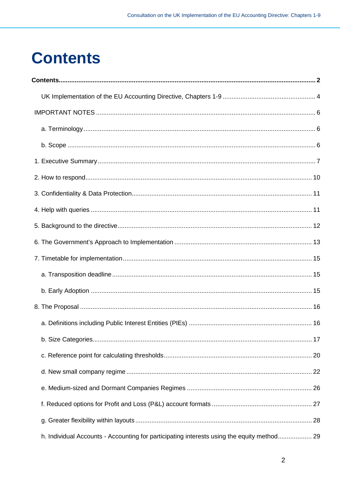# <span id="page-1-0"></span>**Contents**

| h. Individual Accounts - Accounting for participating interests using the equity method 29 |  |
|--------------------------------------------------------------------------------------------|--|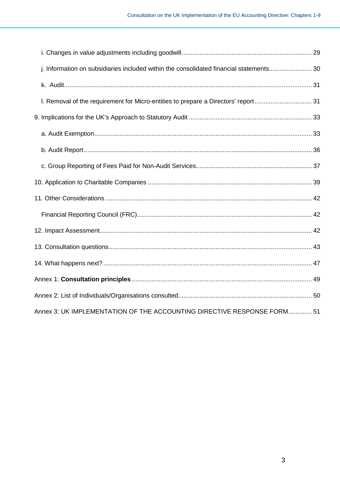| j. Information on subsidiaries included within the consolidated financial statements 30 |  |
|-----------------------------------------------------------------------------------------|--|
|                                                                                         |  |
| I. Removal of the requirement for Micro-entities to prepare a Directors' report 31      |  |
|                                                                                         |  |
|                                                                                         |  |
|                                                                                         |  |
|                                                                                         |  |
|                                                                                         |  |
|                                                                                         |  |
|                                                                                         |  |
|                                                                                         |  |
|                                                                                         |  |
|                                                                                         |  |
|                                                                                         |  |
|                                                                                         |  |
| Annex 3: UK IMPLEMENTATION OF THE ACCOUNTING DIRECTIVE RESPONSE FORM 51                 |  |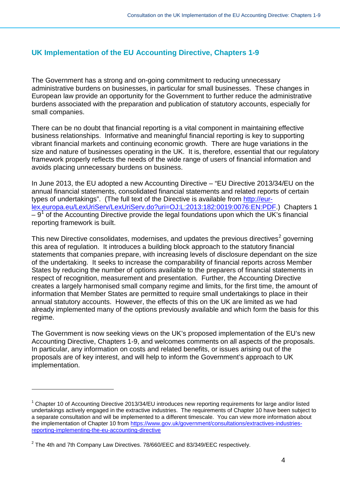# <span id="page-3-0"></span>**UK Implementation of the EU Accounting Directive, Chapters 1-9**

The Government has a strong and on-going commitment to reducing unnecessary administrative burdens on businesses, in particular for small businesses. These changes in European law provide an opportunity for the Government to further reduce the administrative burdens associated with the preparation and publication of statutory accounts, especially for small companies.

There can be no doubt that financial reporting is a vital component in maintaining effective business relationships. Informative and meaningful financial reporting is key to supporting vibrant financial markets and continuing economic growth. There are huge variations in the size and nature of businesses operating in the UK. It is, therefore, essential that our regulatory framework properly reflects the needs of the wide range of users of financial information and avoids placing unnecessary burdens on business.

In June 2013, the EU adopted a new Accounting Directive – "EU Directive 2013/34/EU on the annual financial statements, consolidated financial statements and related reports of certain types of undertakings". (The full text of the Directive is available from [http://eur](http://eur-lex.europa.eu/LexUriServ/LexUriServ.do?uri=OJ:L:2013:182:0019:0076:EN:PDF)[lex.europa.eu/LexUriServ/LexUriServ.do?uri=OJ:L:2013:182:0019:0076:EN:PDF.](http://eur-lex.europa.eu/LexUriServ/LexUriServ.do?uri=OJ:L:2013:182:0019:0076:EN:PDF)) Chapters 1  $-9<sup>1</sup>$  $-9<sup>1</sup>$  $-9<sup>1</sup>$  of the Accounting Directive provide the legal foundations upon which the UK's financial reporting framework is built.

This new Directive consolidates, modernises, and updates the previous directives<sup>[2](#page-3-2)</sup> governing this area of regulation. It introduces a building block approach to the statutory financial statements that companies prepare, with increasing levels of disclosure dependant on the size of the undertaking. It seeks to increase the comparability of financial reports across Member States by reducing the number of options available to the preparers of financial statements in respect of recognition, measurement and presentation. Further, the Accounting Directive creates a largely harmonised small company regime and limits, for the first time, the amount of information that Member States are permitted to require small undertakings to place in their annual statutory accounts. However, the effects of this on the UK are limited as we had already implemented many of the options previously available and which form the basis for this regime.

The Government is now seeking views on the UK's proposed implementation of the EU's new Accounting Directive, Chapters 1-9, and welcomes comments on all aspects of the proposals. In particular, any information on costs and related benefits, or issues arising out of the proposals are of key interest, and will help to inform the Government's approach to UK implementation.

 $\overline{a}$ 

<span id="page-3-1"></span> $1$  Chapter 10 of Accounting Directive 2013/34/EU introduces new reporting requirements for large and/or listed undertakings actively engaged in the extractive industries. The requirements of Chapter 10 have been subject to a separate consultation and will be implemented to a different timescale. You can view more information about the implementation of Chapter 10 from [https://www.gov.uk/government/consultations/extractives-industries](https://www.gov.uk/government/consultations/extractives-industries-reporting-implementing-the-eu-accounting-directive)[reporting-implementing-the-eu-accounting-directive](https://www.gov.uk/government/consultations/extractives-industries-reporting-implementing-the-eu-accounting-directive)

<span id="page-3-2"></span> $^2$  The 4th and 7th Company Law Directives. 78/660/EEC and 83/349/EEC respectively.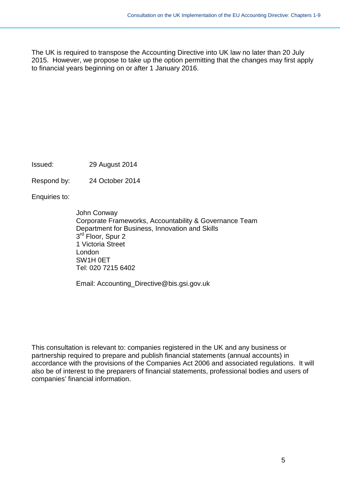The UK is required to transpose the Accounting Directive into UK law no later than 20 July 2015. However, we propose to take up the option permitting that the changes may first apply to financial years beginning on or after 1 January 2016.

Issued: 29 August 2014

Respond by: 24 October 2014

Enquiries to:

John Conway Corporate Frameworks, Accountability & Governance Team Department for Business, Innovation and Skills 3<sup>rd</sup> Floor, Spur 2 1 Victoria Street London SW1H 0ET Tel: 020 7215 6402

Email: [Accounting\\_Directive@bis.gsi.gov.uk](mailto:Accounting_Directive@bis.gsi.gov.uk)

This consultation is relevant to: companies registered in the UK and any business or partnership required to prepare and publish financial statements (annual accounts) in accordance with the provisions of the Companies Act 2006 and associated regulations. It will also be of interest to the preparers of financial statements, professional bodies and users of companies' financial information.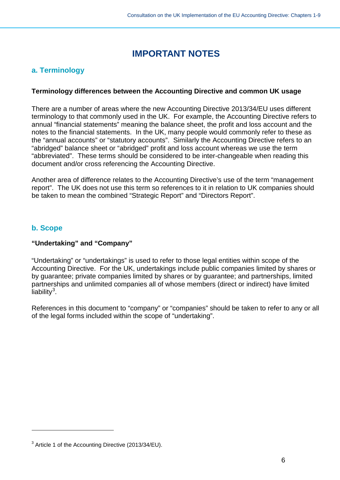# **IMPORTANT NOTES**

# <span id="page-5-1"></span><span id="page-5-0"></span>**a. Terminology**

### **Terminology differences between the Accounting Directive and common UK usage**

There are a number of areas where the new Accounting Directive 2013/34/EU uses different terminology to that commonly used in the UK. For example, the Accounting Directive refers to annual "financial statements" meaning the balance sheet, the profit and loss account and the notes to the financial statements. In the UK, many people would commonly refer to these as the "annual accounts" or "statutory accounts". Similarly the Accounting Directive refers to an "abridged" balance sheet or "abridged" profit and loss account whereas we use the term "abbreviated". These terms should be considered to be inter-changeable when reading this document and/or cross referencing the Accounting Directive.

Another area of difference relates to the Accounting Directive's use of the term "management report". The UK does not use this term so references to it in relation to UK companies should be taken to mean the combined "Strategic Report" and "Directors Report".

# <span id="page-5-2"></span>**b. Scope**

 $\overline{a}$ 

### **"Undertaking" and "Company"**

"Undertaking" or "undertakings" is used to refer to those legal entities within scope of the Accounting Directive. For the UK, undertakings include public companies limited by shares or by guarantee; private companies limited by shares or by guarantee; and partnerships, limited partnerships and unlimited companies all of whose members (direct or indirect) have limited liability<sup>[3](#page-5-3)</sup>.

References in this document to "company" or "companies" should be taken to refer to any or all of the legal forms included within the scope of "undertaking".

<span id="page-5-3"></span><sup>3</sup> Article 1 of the Accounting Directive (2013/34/EU).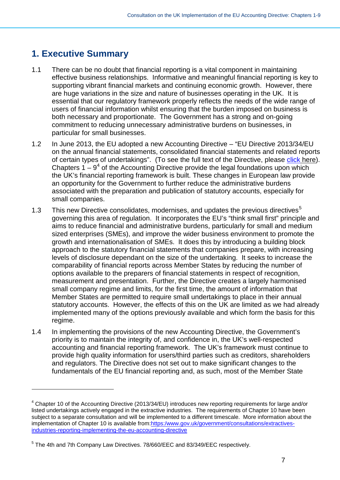# <span id="page-6-0"></span>**1. Executive Summary**

 $\overline{a}$ 

- 1.1 There can be no doubt that financial reporting is a vital component in maintaining effective business relationships. Informative and meaningful financial reporting is key to supporting vibrant financial markets and continuing economic growth. However, there are huge variations in the size and nature of businesses operating in the UK. It is essential that our regulatory framework properly reflects the needs of the wide range of users of financial information whilst ensuring that the burden imposed on business is both necessary and proportionate. The Government has a strong and on-going commitment to reducing unnecessary administrative burdens on businesses, in particular for small businesses.
- 1.2 In June 2013, the EU adopted a new Accounting Directive "EU Directive 2013/34/EU on the annual financial statements, consolidated financial statements and related reports of certain types of undertakings". (To see the full text of the Directive, please [click](http://www.google.co.uk/url?sa=t&rct=j&q=&esrc=s&frm=1&source=web&cd=1&ved=0CCEQFjAA&url=http%3A%2F%2Feur-lex.europa.eu%2FLexUriServ%2FLexUriServ.do%3Furi%3DOJ%3AL%3A2013%3A182%3A0019%3A0076%3AEN%3APDF&ei=-lkAVPz-NY3OaIf-gPAI&usg=AFQjCNHVwpvAwcuxUq8rW2BEuWv33u9wxw&sig2=gu7EcHntt9fgnf9NEye2hA&bvm=bv.74115972,d.d2s) here). Chapters  $1 - 9<sup>4</sup>$  $1 - 9<sup>4</sup>$  $1 - 9<sup>4</sup>$  of the Accounting Directive provide the legal foundations upon which the UK's financial reporting framework is built. These changes in European law provide an opportunity for the Government to further reduce the administrative burdens associated with the preparation and publication of statutory accounts, especially for small companies.
- 1.3 This new Directive consolidates, modernises, and updates the previous directives<sup>[5](#page-6-2)</sup> governing this area of regulation. It incorporates the EU's "think small first" principle and aims to reduce financial and administrative burdens, particularly for small and medium sized enterprises (SMEs), and improve the wider business environment to promote the growth and internationalisation of SMEs. It does this by introducing a building block approach to the statutory financial statements that companies prepare, with increasing levels of disclosure dependant on the size of the undertaking. It seeks to increase the comparability of financial reports across Member States by reducing the number of options available to the preparers of financial statements in respect of recognition, measurement and presentation. Further, the Directive creates a largely harmonised small company regime and limits, for the first time, the amount of information that Member States are permitted to require small undertakings to place in their annual statutory accounts. However, the effects of this on the UK are limited as we had already implemented many of the options previously available and which form the basis for this regime.
- 1.4 In implementing the provisions of the new Accounting Directive, the Government's priority is to maintain the integrity of, and confidence in, the UK's well-respected accounting and financial reporting framework. The UK's framework must continue to provide high quality information for users/third parties such as creditors, shareholders and regulators. The Directive does not set out to make significant changes to the fundamentals of the EU financial reporting and, as such, most of the Member State

<span id="page-6-1"></span><sup>&</sup>lt;sup>4</sup> Chapter 10 of the Accounting Directive (2013/34/EU) introduces new reporting requirements for large and/or listed undertakings actively engaged in the extractive industries. The requirements of Chapter 10 have been subject to a separate consultation and will be implemented to a different timescale. More information about the implementation of Chapter 10 is available from[:https:/www.gov.uk/government/consultations/extractives](https://www.gov.uk/government/consultations/extractives-industries-reporting-implementing-the-eu-accounting-directive)[industries-reporting-implementing-the-eu-accounting-directive](https://www.gov.uk/government/consultations/extractives-industries-reporting-implementing-the-eu-accounting-directive)

<span id="page-6-2"></span> $5$  The 4th and 7th Company Law Directives. 78/660/EEC and 83/349/EEC respectively.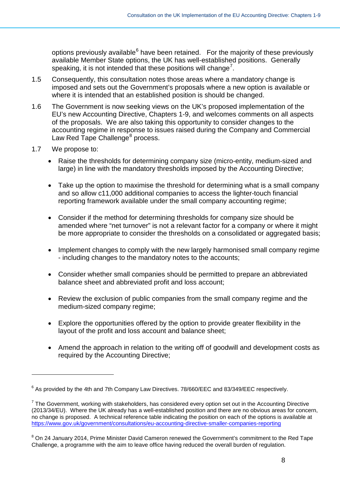options previously available<sup>[6](#page-7-0)</sup> have been retained. For the majority of these previously available Member State options, the UK has well-established positions. Generally speaking, it is not intended that these positions will change<sup>[7](#page-7-1)</sup>.

- 1.5 Consequently, this consultation notes those areas where a mandatory change is imposed and sets out the Government's proposals where a new option is available or where it is intended that an established position is should be changed.
- 1.6 The Government is now seeking views on the UK's proposed implementation of the EU's new Accounting Directive, Chapters 1-9, and welcomes comments on all aspects of the proposals. We are also taking this opportunity to consider changes to the accounting regime in response to issues raised during the Company and Commercial Law Red Tape Challenge<sup>[8](#page-7-2)</sup> process.
- 1.7 We propose to:

 $\overline{a}$ 

- Raise the thresholds for determining company size (micro-entity, medium-sized and large) in line with the mandatory thresholds imposed by the Accounting Directive;
- Take up the option to maximise the threshold for determining what is a small company and so allow c11,000 additional companies to access the lighter-touch financial reporting framework available under the small company accounting regime;
- Consider if the method for determining thresholds for company size should be amended where "net turnover" is not a relevant factor for a company or where it might be more appropriate to consider the thresholds on a consolidated or aggregated basis;
- Implement changes to comply with the new largely harmonised small company regime - including changes to the mandatory notes to the accounts;
- Consider whether small companies should be permitted to prepare an abbreviated balance sheet and abbreviated profit and loss account;
- Review the exclusion of public companies from the small company regime and the medium-sized company regime;
- Explore the opportunities offered by the option to provide greater flexibility in the layout of the profit and loss account and balance sheet;
- Amend the approach in relation to the writing off of goodwill and development costs as required by the Accounting Directive;

<span id="page-7-0"></span> $6$  As provided by the 4th and 7th Company Law Directives. 78/660/EEC and 83/349/EEC respectively.

<span id="page-7-1"></span> $^7$  The Government, working with stakeholders, has considered every option set out in the Accounting Directive (2013/34/EU). Where the UK already has a well-established position and there are no obvious areas for concern, no change is proposed. A technical reference table indicating the position on each of the options is available at <https://www.gov.uk/government/consultations/eu-accounting-directive-smaller-companies-reporting>

<span id="page-7-2"></span><sup>&</sup>lt;sup>8</sup> On 24 January 2014, Prime Minister David Cameron renewed the Government's commitment to the Red Tape Challenge, a programme with the aim to leave office having reduced the overall burden of regulation.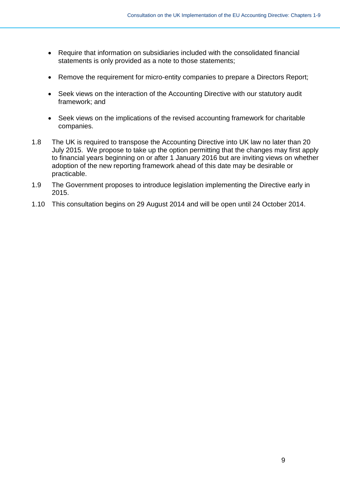- Require that information on subsidiaries included with the consolidated financial statements is only provided as a note to those statements;
- Remove the requirement for micro-entity companies to prepare a Directors Report;
- Seek views on the interaction of the Accounting Directive with our statutory audit framework; and
- Seek views on the implications of the revised accounting framework for charitable companies.
- 1.8 The UK is required to transpose the Accounting Directive into UK law no later than 20 July 2015. We propose to take up the option permitting that the changes may first apply to financial years beginning on or after 1 January 2016 but are inviting views on whether adoption of the new reporting framework ahead of this date may be desirable or practicable.
- 1.9 The Government proposes to introduce legislation implementing the Directive early in 2015.
- 1.10 This consultation begins on 29 August 2014 and will be open until 24 October 2014.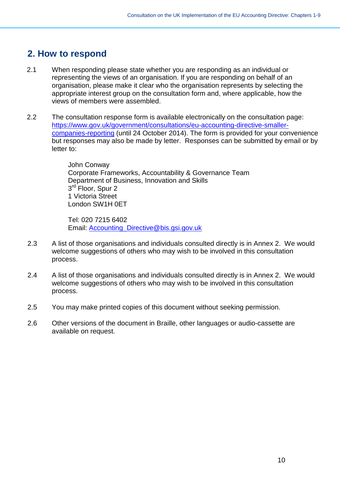# <span id="page-9-0"></span>**2. How to respond**

- 2.1 When responding please state whether you are responding as an individual or representing the views of an organisation. If you are responding on behalf of an organisation, please make it clear who the organisation represents by selecting the appropriate interest group on the consultation form and, where applicable, how the views of members were assembled.
- 2.2 The consultation response form is available electronically on the consultation page: [https://www.gov.uk/government/consultations/eu-accounting-directive-smaller](https://www.gov.uk/government/consultations/eu-accounting-directive-smaller-companies-reporting)[companies-reporting](https://www.gov.uk/government/consultations/eu-accounting-directive-smaller-companies-reporting) (until 24 October 2014). The form is provided for your convenience but responses may also be made by letter. Responses can be submitted by email or by letter to:

John Conway Corporate Frameworks, Accountability & Governance Team Department of Business, Innovation and Skills 3<sup>rd</sup> Floor, Spur 2 1 Victoria Street London SW1H 0ET

Tel: 020 7215 6402 Email: [Accounting\\_Directive@bis.gsi.gov.uk](mailto:Accounting_Directive@bis.gsi.gov.uk)

- 2.3 A list of those organisations and individuals consulted directly is in Annex 2. We would welcome suggestions of others who may wish to be involved in this consultation process.
- 2.4 A list of those organisations and individuals consulted directly is in Annex 2. We would welcome suggestions of others who may wish to be involved in this consultation process.
- 2.5 You may make printed copies of this document without seeking permission.
- 2.6 Other versions of the document in Braille, other languages or audio-cassette are available on request.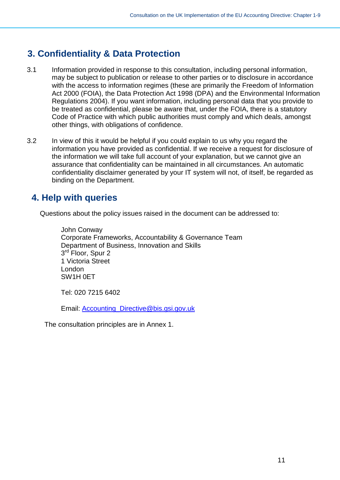# <span id="page-10-0"></span>**3. Confidentiality & Data Protection**

- 3.1 Information provided in response to this consultation, including personal information, may be subject to publication or release to other parties or to disclosure in accordance with the access to information regimes (these are primarily the Freedom of Information Act 2000 (FOIA), the Data Protection Act 1998 (DPA) and the Environmental Information Regulations 2004). If you want information, including personal data that you provide to be treated as confidential, please be aware that, under the FOIA, there is a statutory Code of Practice with which public authorities must comply and which deals, amongst other things, with obligations of confidence.
- 3.2 In view of this it would be helpful if you could explain to us why you regard the information you have provided as confidential. If we receive a request for disclosure of the information we will take full account of your explanation, but we cannot give an assurance that confidentiality can be maintained in all circumstances. An automatic confidentiality disclaimer generated by your IT system will not, of itself, be regarded as binding on the Department.

# <span id="page-10-1"></span>**4. Help with queries**

Questions about the policy issues raised in the document can be addressed to:

John Conway Corporate Frameworks, Accountability & Governance Team Department of Business, Innovation and Skills 3<sup>rd</sup> Floor, Spur 2 1 Victoria Street London SW1H 0ET

Tel: 020 7215 6402

Email: [Accounting\\_Directive@bis.gsi.gov.uk](mailto:Accounting_Directive@bis.gsi.gov.uk)

The consultation principles are in Annex 1.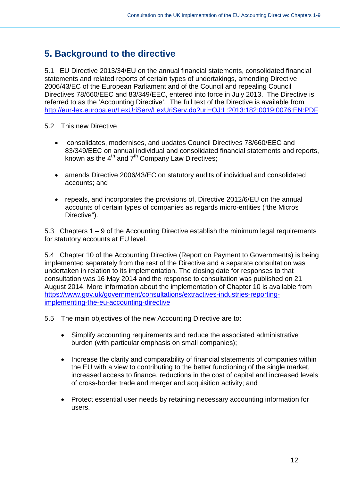# <span id="page-11-0"></span>**5. Background to the directive**

5.1 EU Directive 2013/34/EU on the annual financial statements, consolidated financial statements and related reports of certain types of undertakings, amending Directive 2006/43/EC of the European Parliament and of the Council and repealing Council Directives 78/660/EEC and 83/349/EEC, entered into force in July 2013. The Directive is referred to as the 'Accounting Directive'. The full text of the Directive is available from <http://eur-lex.europa.eu/LexUriServ/LexUriServ.do?uri=OJ:L:2013:182:0019:0076:EN:PDF>

- 5.2 This new Directive
	- consolidates, modernises, and updates Council Directives 78/660/EEC and 83/349/EEC on annual individual and consolidated financial statements and reports, known as the  $4<sup>th</sup>$  and  $7<sup>th</sup>$  Company Law Directives;
	- amends Directive 2006/43/EC on statutory audits of individual and consolidated accounts; and
	- repeals, and incorporates the provisions of, Directive 2012/6/EU on the annual accounts of certain types of companies as regards micro-entities ("the Micros Directive").

5.3 Chapters 1 – 9 of the Accounting Directive establish the minimum legal requirements for statutory accounts at EU level.

5.4 Chapter 10 of the Accounting Directive (Report on Payment to Governments) is being implemented separately from the rest of the Directive and a separate consultation was undertaken in relation to its implementation. The closing date for responses to that consultation was 16 May 2014 and the response to consultation was published on 21 August 2014. More information about the implementation of Chapter 10 is available from [https://www.gov.uk/government/consultations/extractives-industries-reporting](https://www.gov.uk/government/consultations/extractives-industries-reporting-implementing-the-eu-accounting-directive)[implementing-the-eu-accounting-directive](https://www.gov.uk/government/consultations/extractives-industries-reporting-implementing-the-eu-accounting-directive)

5.5 The main objectives of the new Accounting Directive are to:

- Simplify accounting requirements and reduce the associated administrative burden (with particular emphasis on small companies);
- Increase the clarity and comparability of financial statements of companies within the EU with a view to contributing to the better functioning of the single market, increased access to finance, reductions in the cost of capital and increased levels of cross-border trade and merger and acquisition activity; and
- Protect essential user needs by retaining necessary accounting information for users.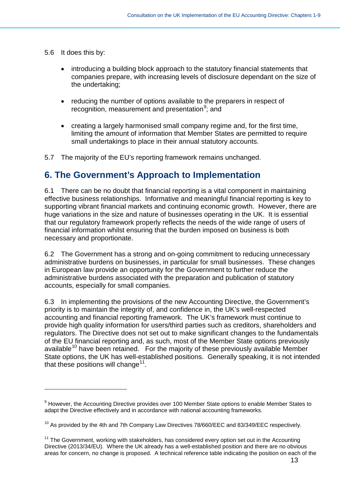5.6 It does this by:

-

- introducing a building block approach to the statutory financial statements that companies prepare, with increasing levels of disclosure dependant on the size of the undertaking;
- reducing the number of options available to the preparers in respect of recognition, measurement and presentation<sup>[9](#page-12-1)</sup>; and
- creating a largely harmonised small company regime and, for the first time, limiting the amount of information that Member States are permitted to require small undertakings to place in their annual statutory accounts.

5.7 The majority of the EU's reporting framework remains unchanged.

# <span id="page-12-0"></span>**6. The Government's Approach to Implementation**

6.1 There can be no doubt that financial reporting is a vital component in maintaining effective business relationships. Informative and meaningful financial reporting is key to supporting vibrant financial markets and continuing economic growth. However, there are huge variations in the size and nature of businesses operating in the UK. It is essential that our regulatory framework properly reflects the needs of the wide range of users of financial information whilst ensuring that the burden imposed on business is both necessary and proportionate.

6.2 The Government has a strong and on-going commitment to reducing unnecessary administrative burdens on businesses, in particular for small businesses. These changes in European law provide an opportunity for the Government to further reduce the administrative burdens associated with the preparation and publication of statutory accounts, especially for small companies.

6.3 In implementing the provisions of the new Accounting Directive, the Government's priority is to maintain the integrity of, and confidence in, the UK's well-respected accounting and financial reporting framework. The UK's framework must continue to provide high quality information for users/third parties such as creditors, shareholders and regulators. The Directive does not set out to make significant changes to the fundamentals of the EU financial reporting and, as such, most of the Member State options previously available<sup>[10](#page-12-2)</sup> have been retained. For the majority of these previously available Member State options, the UK has well-established positions. Generally speaking, it is not intended that these positions will change<sup>[11](#page-12-3)</sup>.

<span id="page-12-1"></span><sup>&</sup>lt;sup>9</sup> However, the Accounting Directive provides over 100 Member State options to enable Member States to adapt the Directive effectively and in accordance with national accounting frameworks.

<span id="page-12-2"></span> $10$  As provided by the 4th and 7th Company Law Directives 78/660/EEC and 83/349/EEC respectively.

<span id="page-12-3"></span> $11$  The Government, working with stakeholders, has considered every option set out in the Accounting Directive (2013/34/EU). Where the UK already has a well-established position and there are no obvious areas for concern, no change is proposed. A technical reference table indicating the position on each of the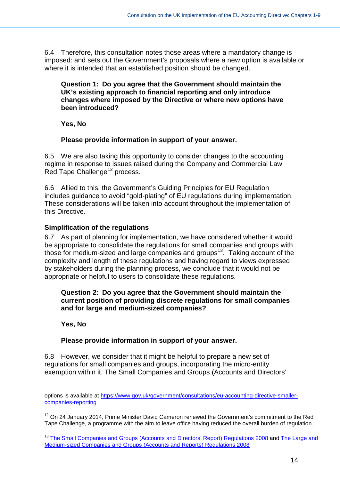6.4 Therefore, this consultation notes those areas where a mandatory change is imposed: and sets out the Government's proposals where a new option is available or where it is intended that an established position should be changed.

#### **Question 1: Do you agree that the Government should maintain the UK's existing approach to financial reporting and only introduce changes where imposed by the Directive or where new options have been introduced?**

**Yes, No**

#### **Please provide information in support of your answer.**

6.5 We are also taking this opportunity to consider changes to the accounting regime in response to issues raised during the Company and Commercial Law Red Tape Challenge<sup>12</sup> process.

6.6 Allied to this, the Government's Guiding Principles for EU Regulation includes guidance to avoid "gold-plating" of EU regulations during implementation. These considerations will be taken into account throughout the implementation of this Directive.

#### **Simplification of the regulations**

6.7 As part of planning for implementation, we have considered whether it would be appropriate to consolidate the regulations for small companies and groups with those for medium-sized and large companies and groups<sup>[13](#page-13-1)</sup>. Taking account of the complexity and length of these regulations and having regard to views expressed by stakeholders during the planning process, we conclude that it would not be appropriate or helpful to users to consolidate these regulations.

#### **Question 2: Do you agree that the Government should maintain the current position of providing discrete regulations for small companies and for large and medium-sized companies?**

#### **Yes, No**

-

#### **Please provide information in support of your answer.**

6.8 However, we consider that it might be helpful to prepare a new set of regulations for small companies and groups, incorporating the micro-entity exemption within it. The Small Companies and Groups (Accounts and Directors'

options is available at [https://www.gov.uk/government/consultations/eu-accounting-directive-smaller](https://www.gov.uk/government/consultations/eu-accounting-directive-smaller-companies-reporting)[companies-reporting](https://www.gov.uk/government/consultations/eu-accounting-directive-smaller-companies-reporting)

<span id="page-13-0"></span> $12$  On 24 January 2014, Prime Minister David Cameron renewed the Government's commitment to the Red Tape Challenge, a programme with the aim to leave office having reduced the overall burden of regulation.

<span id="page-13-1"></span><sup>13</sup> [The Small Companies and Groups \(Accounts and Directors' Report\) Regulations 2008](http://www.legislation.gov.uk/uksi/2008/409/contents/made) and The Large and [Medium-sized Companies and Groups \(Accounts and Reports\) Regulations 2008](http://www.legislation.gov.uk/uksi/2008/410/schedule/5/made)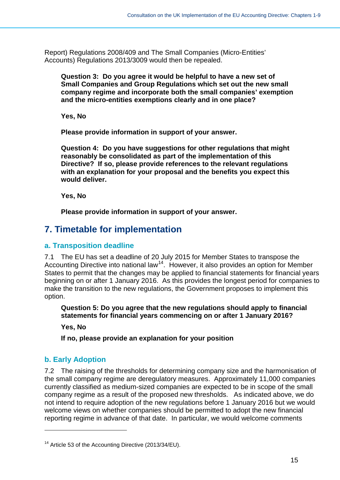Report) Regulations 2008/409 and The Small Companies (Micro-Entities' Accounts) Regulations 2013/3009 would then be repealed.

**Question 3: Do you agree it would be helpful to have a new set of Small Companies and Group Regulations which set out the new small company regime and incorporate both the small companies' exemption and the micro-entities exemptions clearly and in one place?**

**Yes, No**

**Please provide information in support of your answer.**

**Question 4: Do you have suggestions for other regulations that might reasonably be consolidated as part of the implementation of this Directive? If so, please provide references to the relevant regulations with an explanation for your proposal and the benefits you expect this would deliver.**

**Yes, No**

**Please provide information in support of your answer.**

# <span id="page-14-0"></span>**7. Timetable for implementation**

### <span id="page-14-1"></span>**a. Transposition deadline**

7.1 The EU has set a deadline of 20 July 2015 for Member States to transpose the Accounting Directive into national law<sup>[14](#page-14-3)</sup>. However, it also provides an option for Member States to permit that the changes may be applied to financial statements for financial years beginning on or after 1 January 2016. As this provides the longest period for companies to make the transition to the new regulations, the Government proposes to implement this option.

**Question 5: Do you agree that the new regulations should apply to financial statements for financial years commencing on or after 1 January 2016?**

**Yes, No**

**If no, please provide an explanation for your position** 

# <span id="page-14-2"></span>**b. Early Adoption**

-

7.2 The raising of the thresholds for determining company size and the harmonisation of the small company regime are deregulatory measures. Approximately 11,000 companies currently classified as medium-sized companies are expected to be in scope of the small company regime as a result of the proposed new thresholds. As indicated above, we do not intend to require adoption of the new regulations before 1 January 2016 but we would welcome views on whether companies should be permitted to adopt the new financial reporting regime in advance of that date. In particular, we would welcome comments

<span id="page-14-3"></span><sup>&</sup>lt;sup>14</sup> Article 53 of the Accounting Directive (2013/34/EU).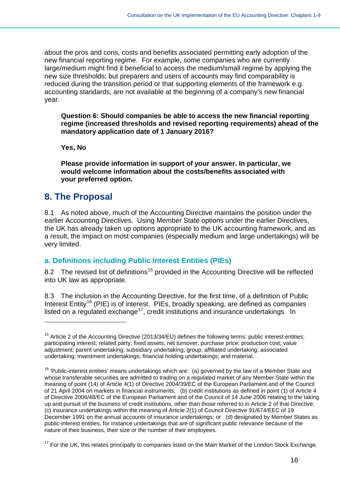about the pros and cons, costs and benefits associated permitting early adoption of the new financial reporting regime. For example, some companies who are currently large/medium might find it beneficial to access the medium/small regime by applying the new size thresholds; but preparers and users of accounts may find comparability is reduced during the transition period or that supporting elements of the framework e.g. accounting standards, are not available at the beginning of a company's new financial year.

**Question 6: Should companies be able to access the new financial reporting regime (increased thresholds and revised reporting requirements) ahead of the mandatory application date of 1 January 2016?**

**Yes, No**

**Please provide information in support of your answer. In particular, we would welcome information about the costs/benefits associated with your preferred option.**

# <span id="page-15-0"></span>**8. The Proposal**

-

8.1 As noted above, much of the Accounting Directive maintains the position under the earlier Accounting Directives. Using Member State options under the earlier Directives, the UK has already taken up options appropriate to the UK accounting framework, and as a result, the impact on most companies (especially medium and large undertakings) will be very limited.

### <span id="page-15-1"></span>**a. Definitions including Public Interest Entities (PIEs)**

8.2 The revised list of definitions<sup>[15](#page-15-2)</sup> provided in the Accounting Directive will be reflected into UK law as appropriate.

8.3 The inclusion in the Accounting Directive, for the first time, of a definition of Public Interest Entity<sup>[16](#page-15-3)</sup> (PIE) is of interest. PIEs, broadly speaking, are defined as companies listed on a regulated exchange<sup>17</sup>, credit institutions and insurance undertakings. In

<span id="page-15-2"></span> $15$  Article 2 of the Accounting Directive (2013/34/EU) defines the following terms: public interest entities; participating interest; related party; fixed assets; net turnover; purchase price; production cost; value adjustment; parent undertaking; subsidiary undertaking; group; affiliated undertaking; associated undertaking; investment undertakings; financial holding undertakings; and material.

<span id="page-15-3"></span> $16$  'Public-interest entities' means undertakings which are: (a) governed by the law of a Member State and whose transferable securities are admitted to trading on a regulated market of any Member State within the meaning of point (14) of Article 4(1) of Directive 2004/39/EC of the European Parliament and of the Council of 21 April 2004 on markets in financial instruments; (b) credit institutions as defined in point (1) of Article 4 of Directive 2006/48/EC of the European Parliament and of the Council of 14 June 2006 relating to the taking up and pursuit of the business of credit institutions, other than those referred to in Article 2 of that Directive; (c) insurance undertakings within the meaning of Article 2(1) of Council Directive 91/674/EEC of 19 December 1991 on the annual accounts of insurance undertakings; or (d) designated by Member States as public-interest entities, for instance undertakings that are of significant public relevance because of the nature of their business, their size or the number of their employees.

<span id="page-15-4"></span><sup>&</sup>lt;sup>17</sup> For the UK, this relates principally to companies listed on the Main Market of the London Stock Exchange.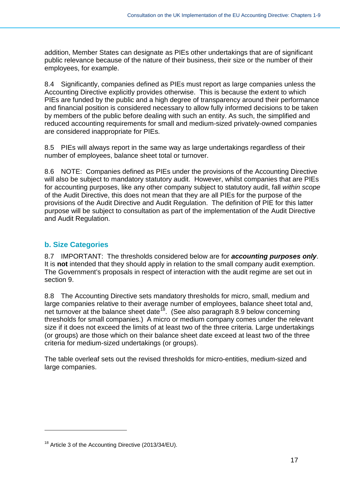addition, Member States can designate as PIEs other undertakings that are of significant public relevance because of the nature of their business, their size or the number of their employees, for example.

8.4 Significantly, companies defined as PIEs must report as large companies unless the Accounting Directive explicitly provides otherwise. This is because the extent to which PIEs are funded by the public and a high degree of transparency around their performance and financial position is considered necessary to allow fully informed decisions to be taken by members of the public before dealing with such an entity. As such, the simplified and reduced accounting requirements for small and medium-sized privately-owned companies are considered inappropriate for PIEs.

8.5 PIEs will always report in the same way as large undertakings regardless of their number of employees, balance sheet total or turnover.

8.6 NOTE: Companies defined as PIEs under the provisions of the Accounting Directive will also be subject to mandatory statutory audit. However, whilst companies that are PIEs for accounting purposes, like any other company subject to statutory audit, fall *within scope* of the Audit Directive, this does not mean that they are all PIEs for the purpose of the provisions of the Audit Directive and Audit Regulation. The definition of PIE for this latter purpose will be subject to consultation as part of the implementation of the Audit Directive and Audit Regulation.

# <span id="page-16-0"></span>**b. Size Categories**

-

8.7 IMPORTANT: The thresholds considered below are for *accounting purposes only*. It is **not** intended that they should apply in relation to the small company audit exemption. The Government's proposals in respect of interaction with the audit regime are set out in section 9.

8.8 The Accounting Directive sets mandatory thresholds for micro, small, medium and large companies relative to their average number of employees, balance sheet total and, net turnover at the balance sheet date<sup>18</sup>. (See also paragraph 8.9 below concerning thresholds for small companies.) A micro or medium company comes under the relevant size if it does not exceed the limits of at least two of the three criteria. Large undertakings (or groups) are those which on their balance sheet date exceed at least two of the three criteria for medium-sized undertakings (or groups).

The table overleaf sets out the revised thresholds for micro-entities, medium-sized and large companies.

<span id="page-16-1"></span><sup>&</sup>lt;sup>18</sup> Article 3 of the Accounting Directive (2013/34/EU).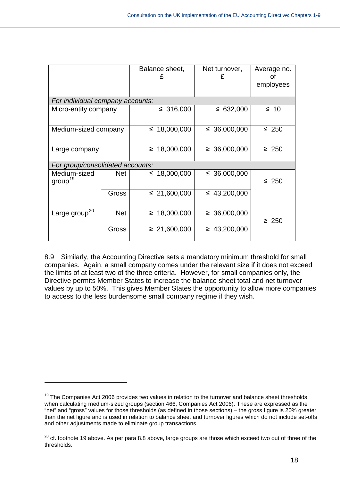|                                     |            | Balance sheet,<br>£ | Net turnover,<br>£ | Average no.<br>Ωt<br>employees |
|-------------------------------------|------------|---------------------|--------------------|--------------------------------|
| For individual company accounts:    |            |                     |                    |                                |
| Micro-entity company                |            | ≤ 316,000           | ≤ 632,000          | $\leq 10$                      |
| Medium-sized company                |            | ≤ 18,000,000        | ≤ 36,000,000       | $\leq 250$                     |
| Large company                       |            | $\geq 18,000,000$   | $\geq 36,000,000$  | $\geq 250$                     |
| For group/consolidated accounts:    |            |                     |                    |                                |
| Medium-sized<br>group <sup>19</sup> | <b>Net</b> | ≤ 18,000,000        | ≤ 36,000,000       | $\leq 250$                     |
|                                     | Gross      | ≤ 21,600,000        | $\leq$ 43,200,000  |                                |
| Large group <sup>20</sup>           | <b>Net</b> | $\geq 18,000,000$   | $\geq 36,000,000$  | $\geq 250$                     |
|                                     | Gross      | $\geq 21,600,000$   | $\geq 43,200,000$  |                                |

8.9 Similarly, the Accounting Directive sets a mandatory minimum threshold for small companies. Again, a small company comes under the relevant size if it does not exceed the limits of at least two of the three criteria. However, for small companies only, the Directive permits Member States to increase the balance sheet total and net turnover values by up to 50%. This gives Member States the opportunity to allow more companies to access to the less burdensome small company regime if they wish.

<span id="page-17-0"></span> $19$  The Companies Act 2006 provides two values in relation to the turnover and balance sheet thresholds when calculating medium-sized groups (section 466, Companies Act 2006). These are expressed as the "net" and "gross" values for those thresholds (as defined in those sections) – the gross figure is 20% greater than the net figure and is used in relation to balance sheet and turnover figures which do not include set-offs and other adjustments made to eliminate group transactions.

<span id="page-17-1"></span><sup>&</sup>lt;sup>20</sup> cf. footnote 19 above. As per para 8.8 above, large groups are those which exceed two out of three of the thresholds.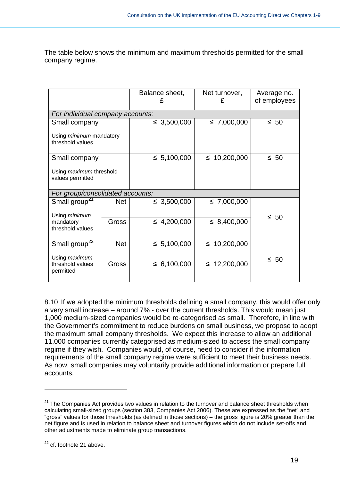The table below shows the minimum and maximum thresholds permitted for the small company regime.

|                                                    |            | Balance sheet,   | Net turnover,<br>£ | Average no.<br>of employees |
|----------------------------------------------------|------------|------------------|--------------------|-----------------------------|
| For individual company accounts:                   |            |                  |                    |                             |
| Small company                                      |            | $\leq 3,500,000$ | $\leq 7,000,000$   | $\leq 50$                   |
| Using <i>minimum</i> mandatory<br>threshold values |            |                  |                    |                             |
| Small company                                      |            | $\leq 5,100,000$ | ≤ 10,200,000       | $\leq 50$                   |
| Using <i>maximum</i> threshold<br>values permitted |            |                  |                    |                             |
| For group/consolidated accounts:                   |            |                  |                    |                             |
| Small group <sup>27</sup>                          | <b>Net</b> | $\leq 3,500,000$ | $\leq 7,000,000$   |                             |
| Using minimum                                      |            |                  |                    | $\leq 50$                   |
| mandatory<br>threshold values                      | Gross      | $\leq 4,200,000$ | $\leq$ 8,400,000   |                             |
|                                                    |            |                  |                    |                             |
| Small group <sup>22</sup>                          | <b>Net</b> | $\leq 5,100,000$ | ≤ 10,200,000       |                             |
| Using maximum                                      |            |                  |                    | $\leq 50$                   |
| threshold values<br>permitted                      | Gross      | $\leq 6,100,000$ | $\leq$ 12,200,000  |                             |

8.10 If we adopted the minimum thresholds defining a small company, this would offer only a very small increase – around 7% - over the current thresholds. This would mean just 1,000 medium-sized companies would be re-categorised as small. Therefore, in line with the Government's commitment to reduce burdens on small business, we propose to adopt the maximum small company thresholds. We expect this increase to allow an additional 11,000 companies currently categorised as medium-sized to access the small company regime if they wish. Companies would, of course, need to consider if the information requirements of the small company regime were sufficient to meet their business needs. As now, small companies may voluntarily provide additional information or prepare full accounts.

<span id="page-18-0"></span> $21$  The Companies Act provides two values in relation to the turnover and balance sheet thresholds when calculating small-sized groups (section 383, Companies Act 2006). These are expressed as the "net" and "gross" values for those thresholds (as defined in those sections) – the gross figure is 20% greater than the net figure and is used in relation to balance sheet and turnover figures which do not include set-offs and other adjustments made to eliminate group transactions.

<span id="page-18-1"></span><sup>&</sup>lt;sup>22</sup> cf. footnote 21 above.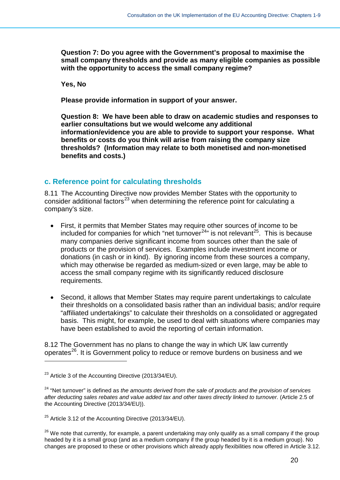**Question 7: Do you agree with the Government's proposal to maximise the small company thresholds and provide as many eligible companies as possible with the opportunity to access the small company regime?**

**Yes, No**

**Please provide information in support of your answer.**

**Question 8: We have been able to draw on academic studies and responses to earlier consultations but we would welcome any additional information/evidence you are able to provide to support your response. What benefits or costs do you think will arise from raising the company size thresholds? (Information may relate to both monetised and non-monetised benefits and costs.)**

# <span id="page-19-0"></span>**c. Reference point for calculating thresholds**

8.11 The Accounting Directive now provides Member States with the opportunity to consider additional factors<sup>[23](#page-19-1)</sup> when determining the reference point for calculating a company's size.

- First, it permits that Member States may require other sources of income to be included for companies for which "net turnover $^{24}$ " is not relevant $^{25}$  $^{25}$  $^{25}$ . This is because many companies derive significant income from sources other than the sale of products or the provision of services. Examples include investment income or donations (in cash or in kind). By ignoring income from these sources a company, which may otherwise be regarded as medium-sized or even large, may be able to access the small company regime with its significantly reduced disclosure requirements.
- Second, it allows that Member States may require parent undertakings to calculate their thresholds on a consolidated basis rather than an individual basis; and/or require "affiliated undertakings" to calculate their thresholds on a consolidated or aggregated basis. This might, for example, be used to deal with situations where companies may have been established to avoid the reporting of certain information.

8.12 The Government has no plans to change the way in which UK law currently operates[26](#page-19-4). It is Government policy to reduce or remove burdens on business and we

<span id="page-19-1"></span> $23$  Article 3 of the Accounting Directive (2013/34/EU).

<span id="page-19-2"></span><sup>24</sup> "Net turnover" is defined as *the amounts derived from the sale of products and the provision of services after deducting sales rebates and value added tax and other taxes directly linked to turnover.* (Article 2.5 of the Accounting Directive (2013/34/EU)).

<span id="page-19-3"></span> $25$  Article 3.12 of the Accounting Directive (2013/34/EU).

<span id="page-19-4"></span> $26$  We note that currently, for example, a parent undertaking may only qualify as a small company if the group headed by it is a small group (and as a medium company if the group headed by it is a medium group). No changes are proposed to these or other provisions which already apply flexibilities now offered in Article 3.12.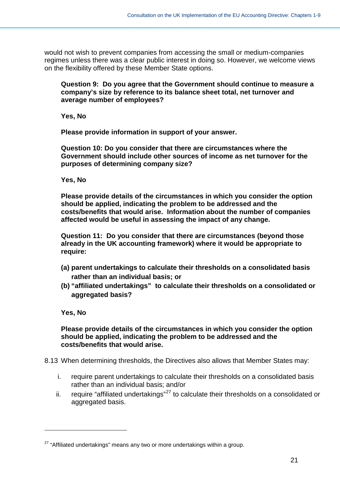would not wish to prevent companies from accessing the small or medium-companies regimes unless there was a clear public interest in doing so. However, we welcome views on the flexibility offered by these Member State options.

**Question 9: Do you agree that the Government should continue to measure a company's size by reference to its balance sheet total, net turnover and average number of employees?**

**Yes, No**

**Please provide information in support of your answer.**

**Question 10: Do you consider that there are circumstances where the Government should include other sources of income as net turnover for the purposes of determining company size?**

**Yes, No**

**Please provide details of the circumstances in which you consider the option should be applied, indicating the problem to be addressed and the costs/benefits that would arise. Information about the number of companies affected would be useful in assessing the impact of any change.**

**Question 11: Do you consider that there are circumstances (beyond those already in the UK accounting framework) where it would be appropriate to require:**

- **(a) parent undertakings to calculate their thresholds on a consolidated basis rather than an individual basis; or**
- **(b) "affiliated undertakings" to calculate their thresholds on a consolidated or aggregated basis?**

**Yes, No**

-

**Please provide details of the circumstances in which you consider the option should be applied, indicating the problem to be addressed and the costs/benefits that would arise.**

8.13 When determining thresholds, the Directives also allows that Member States may:

- i. require parent undertakings to calculate their thresholds on a consolidated basis rather than an individual basis; and/or
- ii. require "affiliated undertakings"<sup>[27](#page-20-0)</sup> to calculate their thresholds on a consolidated or aggregated basis.

<span id="page-20-0"></span><sup>&</sup>lt;sup>27</sup> "Affiliated undertakings" means any two or more undertakings within a group.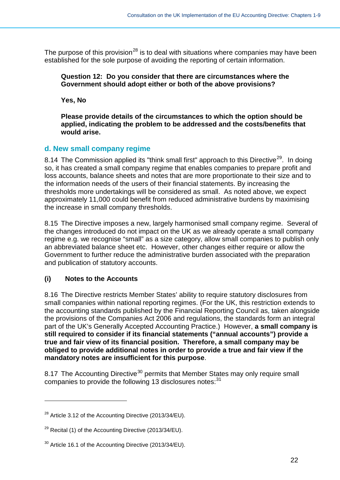The purpose of this provision<sup>[28](#page-21-1)</sup> is to deal with situations where companies may have been established for the sole purpose of avoiding the reporting of certain information.

**Question 12: Do you consider that there are circumstances where the Government should adopt either or both of the above provisions?**

**Yes, No**

**Please provide details of the circumstances to which the option should be applied, indicating the problem to be addressed and the costs/benefits that would arise.**

# <span id="page-21-0"></span>**d. New small company regime**

8.14 The Commission applied its "think small first" approach to this Directive<sup>29</sup>. In doing so, it has created a small company regime that enables companies to prepare profit and loss accounts, balance sheets and notes that are more proportionate to their size and to the information needs of the users of their financial statements. By increasing the thresholds more undertakings will be considered as small. As noted above, we expect approximately 11,000 could benefit from reduced administrative burdens by maximising the increase in small company thresholds.

8.15 The Directive imposes a new, largely harmonised small company regime. Several of the changes introduced do not impact on the UK as we already operate a small company regime e.g. we recognise "small" as a size category, allow small companies to publish only an abbreviated balance sheet etc. However, other changes either require or allow the Government to further reduce the administrative burden associated with the preparation and publication of statutory accounts.

# **(i) Notes to the Accounts**

-

8.16 The Directive restricts Member States' ability to require statutory disclosures from small companies within national reporting regimes. (For the UK, this restriction extends to the accounting standards published by the Financial Reporting Council as, taken alongside the provisions of the Companies Act 2006 and regulations, the standards form an integral part of the UK's Generally Accepted Accounting Practice.) However, **a small company is still required to consider if its financial statements ("annual accounts") provide a true and fair view of its financial position. Therefore, a small company may be obliged to provide additional notes in order to provide a true and fair view if the mandatory notes are insufficient for this purpose**.

8.17 The Accounting Directive<sup>[30](#page-21-3)</sup> permits that Member States may only require small companies to provide the following 13 disclosures notes: [31](#page-21-4)

<span id="page-21-4"></span><span id="page-21-1"></span> $^{28}$  Article 3.12 of the Accounting Directive (2013/34/EU).

<span id="page-21-2"></span> $^{29}$  Recital (1) of the Accounting Directive (2013/34/EU).

<span id="page-21-3"></span><sup>&</sup>lt;sup>30</sup> Article 16.1 of the Accounting Directive (2013/34/EU).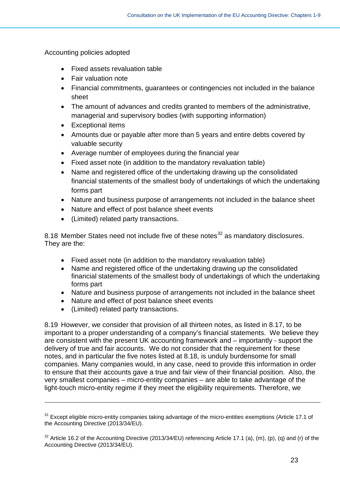Accounting policies adopted

- Fixed assets revaluation table
- Fair valuation note
- Financial commitments, guarantees or contingencies not included in the balance sheet
- The amount of advances and credits granted to members of the administrative, managerial and supervisory bodies (with supporting information)
- Exceptional items
- Amounts due or payable after more than 5 years and entire debts covered by valuable security
- Average number of employees during the financial year
- Fixed asset note (in addition to the mandatory revaluation table)
- Name and registered office of the undertaking drawing up the consolidated financial statements of the smallest body of undertakings of which the undertaking forms part
- Nature and business purpose of arrangements not included in the balance sheet
- Nature and effect of post balance sheet events
- (Limited) related party transactions.

8.18 Member States need not include five of these notes<sup>[32](#page-22-0)</sup> as mandatory disclosures. They are the:

- Fixed asset note (in addition to the mandatory revaluation table)
- Name and registered office of the undertaking drawing up the consolidated financial statements of the smallest body of undertakings of which the undertaking forms part
- Nature and business purpose of arrangements not included in the balance sheet
- Nature and effect of post balance sheet events
- (Limited) related party transactions.

-

8.19 However, we consider that provision of all thirteen notes, as listed in 8.17, to be important to a proper understanding of a company's financial statements. We believe they are consistent with the present UK accounting framework and – importantly - support the delivery of true and fair accounts. We do not consider that the requirement for these notes, and in particular the five notes listed at 8.18, is unduly burdensome for small companies. Many companies would, in any case, need to provide this information in order to ensure that their accounts gave a true and fair view of their financial position. Also, the very smallest companies – micro-entity companies – are able to take advantage of the light-touch micro-entity regime if they meet the eligibility requirements. Therefore, we

<sup>&</sup>lt;sup>31</sup> Except eligible micro-entity companies taking advantage of the micro-entities exemptions (Article 17.1 of the Accounting Directive (2013/34/EU).

<span id="page-22-0"></span> $32$  Article 16.2 of the Accounting Directive (2013/34/EU) referencing Article 17.1 (a), (m), (p), (q) and (r) of the Accounting Directive (2013/34/EU).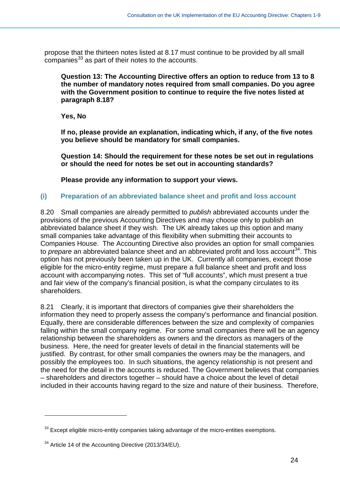propose that the thirteen notes listed at 8.17 must continue to be provided by all small companies<sup>[33](#page-23-0)</sup> as part of their notes to the accounts.

**Question 13: The Accounting Directive offers an option to reduce from 13 to 8 the number of mandatory notes required from small companies. Do you agree with the Government position to continue to require the five notes listed at paragraph 8.18?**

**Yes, No**

**If no, please provide an explanation, indicating which, if any, of the five notes you believe should be mandatory for small companies.**

**Question 14: Should the requirement for these notes be set out in regulations or should the need for notes be set out in accounting standards?**

**Please provide any information to support your views.**

#### **(i) Preparation of an abbreviated balance sheet and profit and loss account**

8.20 Small companies are already permitted to *publish* abbreviated accounts under the provisions of the previous Accounting Directives and may choose only to publish an abbreviated balance sheet if they wish. The UK already takes up this option and many small companies take advantage of this flexibility when submitting their accounts to Companies House. The Accounting Directive also provides an option for small companies to *prepare* an abbreviated balance sheet and an abbreviated profit and loss account<sup>[34](#page-23-1)</sup>. This option has not previously been taken up in the UK. Currently all companies, except those eligible for the micro-entity regime, must prepare a full balance sheet and profit and loss account with accompanying notes. This set of "full accounts", which must present a true and fair view of the company's financial position, is what the company circulates to its shareholders.

8.21 Clearly, it is important that directors of companies give their shareholders the information they need to properly assess the company's performance and financial position. Equally, there are considerable differences between the size and complexity of companies falling within the small company regime. For some small companies there will be an agency relationship between the shareholders as owners and the directors as managers of the business. Here, the need for greater levels of detail in the financial statements will be justified. By contrast, for other small companies the owners may be the managers, and possibly the employees too. In such situations, the agency relationship is not present and the need for the detail in the accounts is reduced. The Government believes that companies – shareholders and directors together – should have a choice about the level of detail included in their accounts having regard to the size and nature of their business. Therefore,

<span id="page-23-0"></span> $33$  Except eligible micro-entity companies taking advantage of the micro-entities exemptions.

<span id="page-23-1"></span><sup>&</sup>lt;sup>34</sup> Article 14 of the Accounting Directive (2013/34/EU).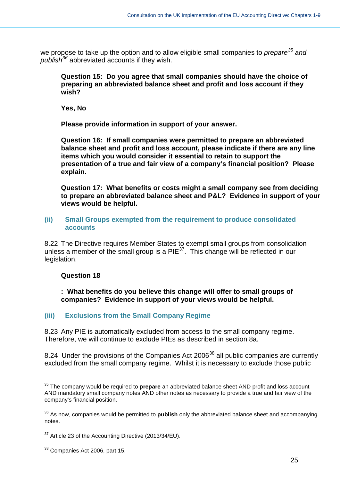we propose to take up the option and to allow eligible small companies to *prepare[35](#page-24-0) and publish[36](#page-24-1)* abbreviated accounts if they wish.

**Question 15: Do you agree that small companies should have the choice of preparing an abbreviated balance sheet and profit and loss account if they wish?**

**Yes, No**

**Please provide information in support of your answer.**

**Question 16: If small companies were permitted to prepare an abbreviated balance sheet and profit and loss account, please indicate if there are any line items which you would consider it essential to retain to support the presentation of a true and fair view of a company's financial position? Please explain.**

**Question 17: What benefits or costs might a small company see from deciding to prepare an abbreviated balance sheet and P&L? Evidence in support of your views would be helpful.** 

#### **(ii) Small Groups exempted from the requirement to produce consolidated accounts**

8.22 The Directive requires Member States to exempt small groups from consolidation unless a member of the small group is a  $PIE^{37}$ . This change will be reflected in our legislation.

#### **Question 18**

-

**: What benefits do you believe this change will offer to small groups of companies? Evidence in support of your views would be helpful.**

#### **(iii) Exclusions from the Small Company Regime**

8.23 Any PIE is automatically excluded from access to the small company regime. Therefore, we will continue to exclude PIEs as described in section 8a.

8.24 Under the provisions of the Companies Act 2006<sup>[38](#page-24-3)</sup> all public companies are currently excluded from the small company regime. Whilst it is necessary to exclude those public

<span id="page-24-0"></span><sup>35</sup> The company would be required to **prepare** an abbreviated balance sheet AND profit and loss account AND mandatory small company notes AND other notes as necessary to provide a true and fair view of the company's financial position.

<span id="page-24-1"></span><sup>36</sup> As now, companies would be permitted to **publish** only the abbreviated balance sheet and accompanying notes.

<span id="page-24-2"></span> $37$  Article 23 of the Accounting Directive (2013/34/EU).

<span id="page-24-3"></span><sup>&</sup>lt;sup>38</sup> Companies Act 2006, part 15.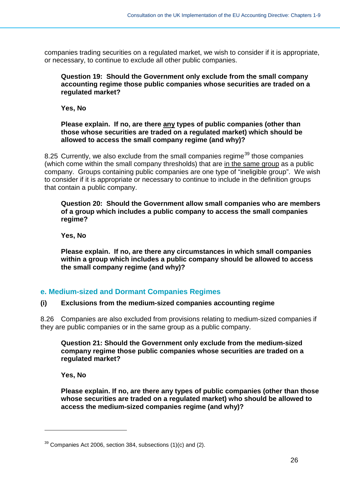companies trading securities on a regulated market, we wish to consider if it is appropriate, or necessary, to continue to exclude all other public companies.

#### **Question 19: Should the Government only exclude from the small company accounting regime those public companies whose securities are traded on a regulated market?**

**Yes, No**

#### **Please explain. If no, are there any types of public companies (other than those whose securities are traded on a regulated market) which should be allowed to access the small company regime (and why)?**

8.25 Currently, we also exclude from the small companies regime<sup>[39](#page-25-1)</sup> those companies (which come within the small company thresholds) that are in the same group as a public company. Groups containing public companies are one type of "ineligible group". We wish to consider if it is appropriate or necessary to continue to include in the definition groups that contain a public company.

#### **Question 20: Should the Government allow small companies who are members of a group which includes a public company to access the small companies regime?**

**Yes, No**

**Please explain. If no, are there any circumstances in which small companies within a group which includes a public company should be allowed to access the small company regime (and why)?**

# <span id="page-25-0"></span>**e. Medium-sized and Dormant Companies Regimes**

### **(i) Exclusions from the medium-sized companies accounting regime**

8.26 Companies are also excluded from provisions relating to medium-sized companies if they are public companies or in the same group as a public company.

**Question 21: Should the Government only exclude from the medium-sized company regime those public companies whose securities are traded on a regulated market?**

**Yes, No**

-

**Please explain. If no, are there any types of public companies (other than those whose securities are traded on a regulated market) who should be allowed to access the medium-sized companies regime (and why)?**

<span id="page-25-1"></span> $39$  Companies Act 2006, section 384, subsections (1)(c) and (2).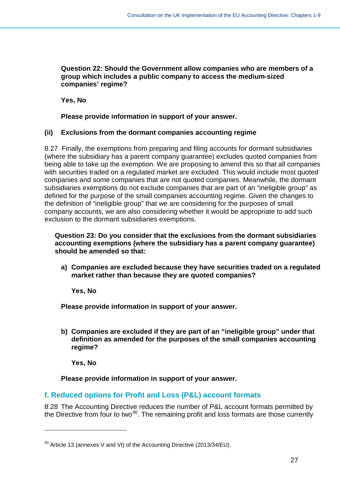#### **Question 22: Should the Government allow companies who are members of a group which includes a public company to access the medium-sized companies' regime?**

**Yes, No**

**Please provide information in support of your answer.**

#### **(ii) Exclusions from the dormant companies accounting regime**

8.27 Finally, the exemptions from preparing and filing accounts for dormant subsidiaries (where the subsidiary has a parent company guarantee) excludes quoted companies from being able to take up the exemption. We are proposing to amend this so that all companies with securities traded on a regulated market are excluded. This would include most quoted companies and some companies that are not quoted companies. Meanwhile, the dormant subsidiaries exemptions do not exclude companies that are part of an "ineligible group" as defined for the purpose of the small companies accounting regime. Given the changes to the definition of "ineligible group" that we are considering for the purposes of small company accounts, we are also considering whether it would be appropriate to add such exclusion to the dormant subsidiaries exemptions.

**Question 23: Do you consider that the exclusions from the dormant subsidiaries accounting exemptions (where the subsidiary has a parent company guarantee) should be amended so that:**

**a) Companies are excluded because they have securities traded on a regulated market rather than because they are quoted companies?**

**Yes, No**

**Please provide information in support of your answer.**

**b) Companies are excluded if they are part of an "ineligible group" under that definition as amended for the purposes of the small companies accounting regime?**

**Yes, No**

-

**Please provide information in support of your answer.**

# <span id="page-26-0"></span>**f. Reduced options for Profit and Loss (P&L) account formats**

8.28 The Accounting Directive reduces the number of P&L account formats permitted by the Directive from four to two<sup>40</sup>. The remaining profit and loss formats are those currently

<span id="page-26-1"></span><sup>&</sup>lt;sup>40</sup> Article 13 (annexes V and VI) of the Accounting Directive (2013/34/EU).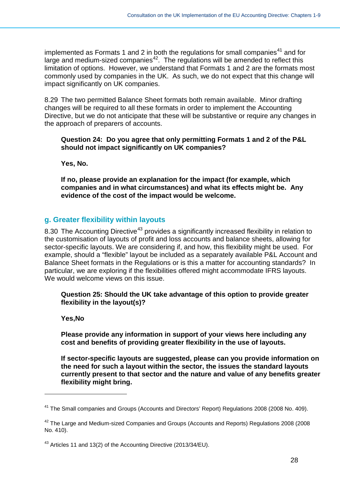implemented as Formats 1 and 2 in both the regulations for small companies<sup>[41](#page-27-1)</sup> and for large and medium-sized companies $42$ . The regulations will be amended to reflect this limitation of options. However, we understand that Formats 1 and 2 are the formats most commonly used by companies in the UK. As such, we do not expect that this change will impact significantly on UK companies.

8.29 The two permitted Balance Sheet formats both remain available. Minor drafting changes will be required to all these formats in order to implement the Accounting Directive, but we do not anticipate that these will be substantive or require any changes in the approach of preparers of accounts.

#### **Question 24: Do you agree that only permitting Formats 1 and 2 of the P&L should not impact significantly on UK companies?**

**Yes, No.**

**If no, please provide an explanation for the impact (for example, which companies and in what circumstances) and what its effects might be. Any evidence of the cost of the impact would be welcome.**

# <span id="page-27-0"></span>**g. Greater flexibility within layouts**

8.30 The Accounting Directive<sup>[43](#page-27-3)</sup> provides a significantly increased flexibility in relation to the customisation of layouts of profit and loss accounts and balance sheets, allowing for sector-specific layouts. We are considering if, and how, this flexibility might be used. For example, should a "flexible" layout be included as a separately available P&L Account and Balance Sheet formats in the Regulations or is this a matter for accounting standards? In particular, we are exploring if the flexibilities offered might accommodate IFRS layouts. We would welcome views on this issue.

#### **Question 25: Should the UK take advantage of this option to provide greater flexibility in the layout(s)?**

#### **Yes,No**

-

**Please provide any information in support of your views here including any cost and benefits of providing greater flexibility in the use of layouts.** 

**If sector-specific layouts are suggested, please can you provide information on the need for such a layout within the sector, the issues the standard layouts currently present to that sector and the nature and value of any benefits greater flexibility might bring.**

<span id="page-27-1"></span><sup>&</sup>lt;sup>41</sup> The Small companies and Groups (Accounts and Directors' Report) Regulations 2008 (2008 No. 409).

<span id="page-27-2"></span> $42$  The Large and Medium-sized Companies and Groups (Accounts and Reports) Regulations 2008 (2008 No. 410).

<span id="page-27-3"></span><sup>43</sup> Articles 11 and 13(2) of the Accounting Directive (2013/34/EU).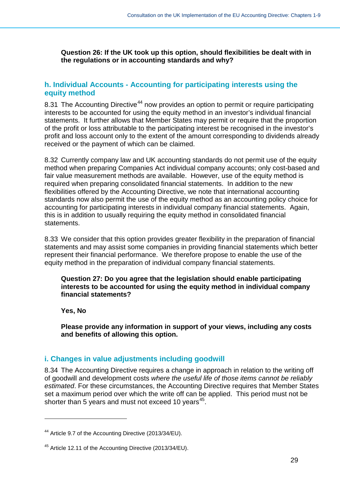**Question 26: If the UK took up this option, should flexibilities be dealt with in the regulations or in accounting standards and why?**

# <span id="page-28-0"></span>**h. Individual Accounts - Accounting for participating interests using the equity method**

8.31 The Accounting Directive<sup>[44](#page-28-2)</sup> now provides an option to permit or require participating interests to be accounted for using the equity method in an investor's individual financial statements. It further allows that Member States may permit or require that the proportion of the profit or loss attributable to the participating interest be recognised in the investor's profit and loss account only to the extent of the amount corresponding to dividends already received or the payment of which can be claimed.

8.32 Currently company law and UK accounting standards do not permit use of the equity method when preparing Companies Act individual company accounts; only cost-based and fair value measurement methods are available. However, use of the equity method is required when preparing consolidated financial statements. In addition to the new flexibilities offered by the Accounting Directive, we note that international accounting standards now also permit the use of the equity method as an accounting policy choice for accounting for participating interests in individual company financial statements. Again, this is in addition to usually requiring the equity method in consolidated financial statements.

8.33 We consider that this option provides greater flexibility in the preparation of financial statements and may assist some companies in providing financial statements which better represent their financial performance. We therefore propose to enable the use of the equity method in the preparation of individual company financial statements.

**Question 27: Do you agree that the legislation should enable participating interests to be accounted for using the equity method in individual company financial statements?**

**Yes, No**

-

**Please provide any information in support of your views, including any costs and benefits of allowing this option.**

### <span id="page-28-1"></span>**i. Changes in value adjustments including goodwill**

8.34 The Accounting Directive requires a change in approach in relation to the writing off of goodwill and development costs *where the useful life of those items cannot be reliably estimated*. For these circumstances, the Accounting Directive requires that Member States set a maximum period over which the write off can be applied. This period must not be shorter than 5 years and must not exceed 10 years<sup>[45](#page-28-3)</sup>.

<span id="page-28-2"></span><sup>&</sup>lt;sup>44</sup> Article 9.7 of the Accounting Directive (2013/34/EU).

<span id="page-28-3"></span><sup>45</sup> Article 12.11 of the Accounting Directive (2013/34/EU).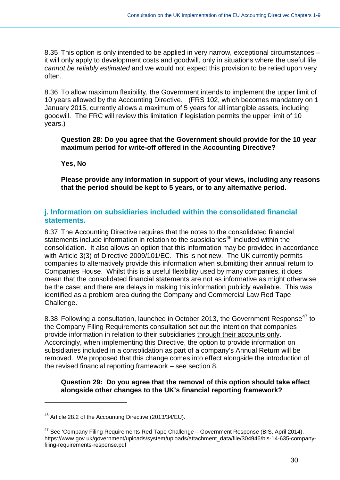8.35 This option is only intended to be applied in very narrow, exceptional circumstances – it will only apply to development costs and goodwill, only in situations where the useful life *cannot be reliably estimated* and we would not expect this provision to be relied upon very often.

8.36 To allow maximum flexibility, the Government intends to implement the upper limit of 10 years allowed by the Accounting Directive. (FRS 102, which becomes mandatory on 1 January 2015, currently allows a maximum of 5 years for all intangible assets, including goodwill. The FRC will review this limitation if legislation permits the upper limit of 10 years.)

**Question 28: Do you agree that the Government should provide for the 10 year maximum period for write-off offered in the Accounting Directive?**

**Yes, No**

**Please provide any information in support of your views, including any reasons that the period should be kept to 5 years, or to any alternative period.**

### <span id="page-29-0"></span>**j. Information on subsidiaries included within the consolidated financial statements.**

8.37 The Accounting Directive requires that the notes to the consolidated financial statements include information in relation to the subsidiaries<sup>[46](#page-29-1)</sup> included within the consolidation. It also allows an option that this information may be provided in accordance with Article 3(3) of Directive 2009/101/EC. This is not new. The UK currently permits companies to alternatively provide this information when submitting their annual return to Companies House. Whilst this is a useful flexibility used by many companies, it does mean that the consolidated financial statements are not as informative as might otherwise be the case; and there are delays in making this information publicly available. This was identified as a problem area during the Company and Commercial Law Red Tape Challenge.

8.38 Following a consultation, launched in October 2013, the Government Response<sup>[47](#page-29-2)</sup> to the Company Filing Requirements consultation set out the intention that companies provide information in relation to their subsidiaries through their accounts only. Accordingly, when implementing this Directive, the option to provide information on subsidiaries included in a consolidation as part of a company's Annual Return will be removed. We proposed that this change comes into effect alongside the introduction of the revised financial reporting framework – see section 8.

#### **Question 29: Do you agree that the removal of this option should take effect alongside other changes to the UK's financial reporting framework?**

<span id="page-29-1"></span><sup>46</sup> Article 28.2 of the Accounting Directive (2013/34/EU).

<span id="page-29-2"></span> $47$  See 'Company Filing Requirements Red Tape Challenge – Government Response (BIS, April 2014). https://www.gov.uk/government/uploads/system/uploads/attachment\_data/file/304946/bis-14-635-companyfiling-requirements-response.pdf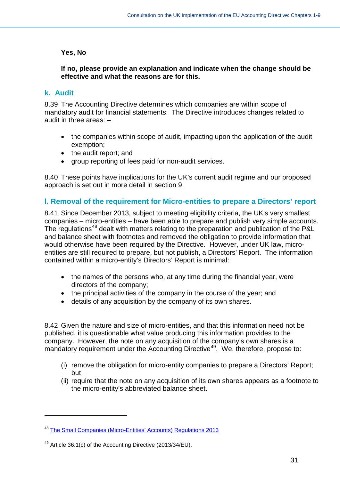#### **Yes, No**

#### **If no, please provide an explanation and indicate when the change should be effective and what the reasons are for this.**

### <span id="page-30-0"></span>**k. Audit**

-

8.39 The Accounting Directive determines which companies are within scope of mandatory audit for financial statements. The Directive introduces changes related to audit in three areas: –

- the companies within scope of audit, impacting upon the application of the audit exemption;
- the audit report; and
- group reporting of fees paid for non-audit services.

8.40 These points have implications for the UK's current audit regime and our proposed approach is set out in more detail in section 9.

### <span id="page-30-1"></span>**l. Removal of the requirement for Micro-entities to prepare a Directors' report**

8.41 Since December 2013, subject to meeting eligibility criteria, the UK's very smallest companies – micro-entities – have been able to prepare and publish very simple accounts. The regulations<sup>[48](#page-30-2)</sup> dealt with matters relating to the preparation and publication of the P&L and balance sheet with footnotes and removed the obligation to provide information that would otherwise have been required by the Directive. However, under UK law, microentities are still required to prepare, but not publish, a Directors' Report. The information contained within a micro-entity's Directors' Report is minimal:

- the names of the persons who, at any time during the financial year, were directors of the company;
- the principal activities of the company in the course of the year; and
- details of any acquisition by the company of its own shares.

8.42 Given the nature and size of micro-entities, and that this information need not be published, it is questionable what value producing this information provides to the company. However, the note on any acquisition of the company's own shares is a mandatory requirement under the Accounting Directive<sup>[49](#page-30-3)</sup>. We, therefore, propose to:

- (i) remove the obligation for micro-entity companies to prepare a Directors' Report; but
- (ii) require that the note on any acquisition of its own shares appears as a footnote to the micro-entity's abbreviated balance sheet.

<span id="page-30-2"></span><sup>48</sup> [The Small Companies \(Micro-Entities' Accounts\) Regulations 2013](http://www.legislation.gov.uk/uksi/2013/3008/contents/made)

<span id="page-30-3"></span><sup>&</sup>lt;sup>49</sup> Article 36.1(c) of the Accounting Directive (2013/34/EU).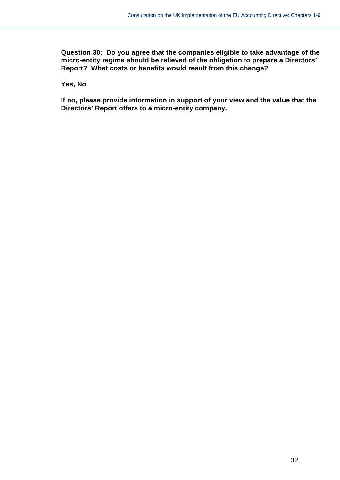**Question 30: Do you agree that the companies eligible to take advantage of the micro-entity regime should be relieved of the obligation to prepare a Directors' Report? What costs or benefits would result from this change?**

**Yes, No**

**If no, please provide information in support of your view and the value that the Directors' Report offers to a micro-entity company.**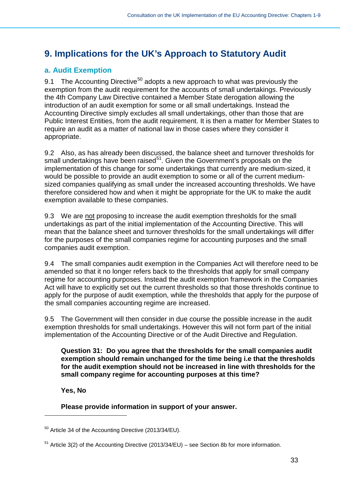# <span id="page-32-0"></span>**9. Implications for the UK's Approach to Statutory Audit**

# <span id="page-32-1"></span>**a. Audit Exemption**

9.1 The Accounting Directive<sup>[50](#page-32-2)</sup> adopts a new approach to what was previously the exemption from the audit requirement for the accounts of small undertakings. Previously the 4th Company Law Directive contained a Member State derogation allowing the introduction of an audit exemption for some or all small undertakings. Instead the Accounting Directive simply excludes all small undertakings, other than those that are Public Interest Entities, from the audit requirement. It is then a matter for Member States to require an audit as a matter of national law in those cases where they consider it appropriate.

9.2 Also, as has already been discussed, the balance sheet and turnover thresholds for small undertakings have been raised $5<sup>1</sup>$ . Given the Government's proposals on the implementation of this change for some undertakings that currently are medium-sized, it would be possible to provide an audit exemption to some or all of the current mediumsized companies qualifying as small under the increased accounting thresholds. We have therefore considered how and when it might be appropriate for the UK to make the audit exemption available to these companies.

9.3 We are not proposing to increase the audit exemption thresholds for the small undertakings as part of the initial implementation of the Accounting Directive. This will mean that the balance sheet and turnover thresholds for the small undertakings will differ for the purposes of the small companies regime for accounting purposes and the small companies audit exemption.

9.4 The small companies audit exemption in the Companies Act will therefore need to be amended so that it no longer refers back to the thresholds that apply for small company regime for accounting purposes. Instead the audit exemption framework in the Companies Act will have to explicitly set out the current thresholds so that those thresholds continue to apply for the purpose of audit exemption, while the thresholds that apply for the purpose of the small companies accounting regime are increased.

9.5 The Government will then consider in due course the possible increase in the audit exemption thresholds for small undertakings. However this will not form part of the initial implementation of the Accounting Directive or of the Audit Directive and Regulation.

**Question 31: Do you agree that the thresholds for the small companies audit exemption should remain unchanged for the time being i.e that the thresholds for the audit exemption should not be increased in line with thresholds for the small company regime for accounting purposes at this time?** 

**Yes, No** 

-

### **Please provide information in support of your answer.**

<span id="page-32-2"></span><sup>50</sup> Article 34 of the Accounting Directive (2013/34/EU).

<span id="page-32-3"></span><sup>51</sup> Article 3(2) of the Accounting Directive (2013/34/EU) – see Section 8b for more information.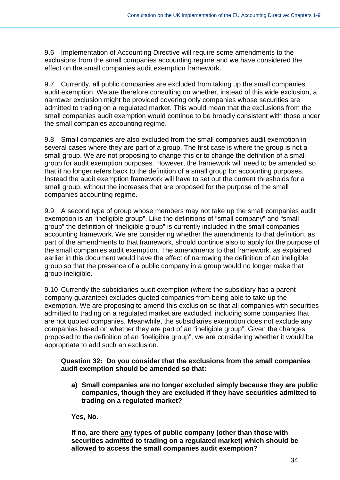9.6 Implementation of Accounting Directive will require some amendments to the exclusions from the small companies accounting regime and we have considered the effect on the small companies audit exemption framework.

9.7 Currently, all public companies are excluded from taking up the small companies audit exemption. We are therefore consulting on whether, instead of this wide exclusion, a narrower exclusion might be provided covering only companies whose securities are admitted to trading on a regulated market. This would mean that the exclusions from the small companies audit exemption would continue to be broadly consistent with those under the small companies accounting regime.

9.8 Small companies are also excluded from the small companies audit exemption in several cases where they are part of a group. The first case is where the group is not a small group. We are not proposing to change this or to change the definition of a small group for audit exemption purposes. However, the framework will need to be amended so that it no longer refers back to the definition of a small group for accounting purposes. Instead the audit exemption framework will have to set out the current thresholds for a small group, without the increases that are proposed for the purpose of the small companies accounting regime.

9.9 A second type of group whose members may not take up the small companies audit exemption is an "ineligible group". Like the definitions of "small company" and "small group" the definition of "ineligible group" is currently included in the small companies accounting framework. We are considering whether the amendments to that definition, as part of the amendments to that framework, should continue also to apply for the purpose of the small companies audit exemption. The amendments to that framework, as explained earlier in this document would have the effect of narrowing the definition of an ineligible group so that the presence of a public company in a group would no longer make that group ineligible.

9.10 Currently the subsidiaries audit exemption (where the subsidiary has a parent company guarantee) excludes quoted companies from being able to take up the exemption. We are proposing to amend this exclusion so that all companies with securities admitted to trading on a regulated market are excluded, including some companies that are not quoted companies. Meanwhile, the subsidiaries exemption does not exclude any companies based on whether they are part of an "ineligible group". Given the changes proposed to the definition of an "ineligible group", we are considering whether it would be appropriate to add such an exclusion.

#### **Question 32: Do you consider that the exclusions from the small companies audit exemption should be amended so that:**

**a) Small companies are no longer excluded simply because they are public companies, though they are excluded if they have securities admitted to trading on a regulated market?** 

**Yes, No.** 

**If no, are there any types of public company (other than those with securities admitted to trading on a regulated market) which should be allowed to access the small companies audit exemption?**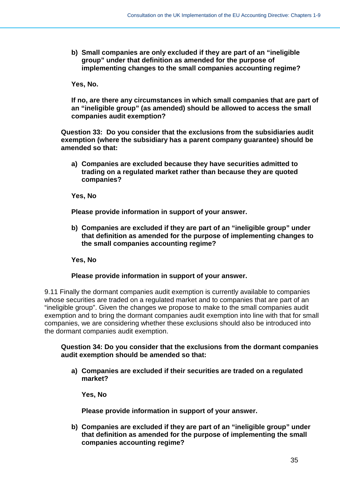**b) Small companies are only excluded if they are part of an "ineligible group" under that definition as amended for the purpose of implementing changes to the small companies accounting regime?** 

**Yes, No.** 

**If no, are there any circumstances in which small companies that are part of an "ineligible group" (as amended) should be allowed to access the small companies audit exemption?**

**Question 33: Do you consider that the exclusions from the subsidiaries audit exemption (where the subsidiary has a parent company guarantee) should be amended so that:**

**a) Companies are excluded because they have securities admitted to trading on a regulated market rather than because they are quoted companies?** 

**Yes, No**

**Please provide information in support of your answer.**

**b) Companies are excluded if they are part of an "ineligible group" under that definition as amended for the purpose of implementing changes to the small companies accounting regime?** 

**Yes, No**

#### **Please provide information in support of your answer.**

9.11 Finally the dormant companies audit exemption is currently available to companies whose securities are traded on a regulated market and to companies that are part of an "ineligible group". Given the changes we propose to make to the small companies audit exemption and to bring the dormant companies audit exemption into line with that for small companies, we are considering whether these exclusions should also be introduced into the dormant companies audit exemption.

#### **Question 34: Do you consider that the exclusions from the dormant companies audit exemption should be amended so that:**

**a) Companies are excluded if their securities are traded on a regulated market?**

**Yes, No**

**Please provide information in support of your answer.**

**b) Companies are excluded if they are part of an "ineligible group" under that definition as amended for the purpose of implementing the small companies accounting regime?**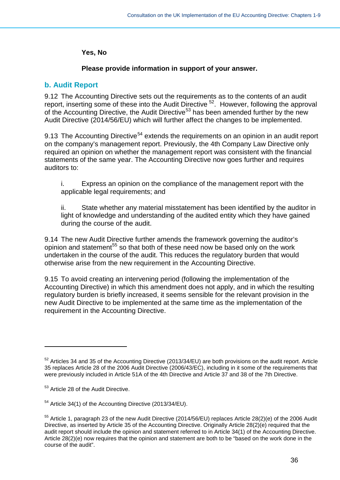#### **Yes, No**

#### **Please provide information in support of your answer.**

### <span id="page-35-0"></span>**b. Audit Report**

9.12 The Accounting Directive sets out the requirements as to the contents of an audit report, inserting some of these into the Audit Directive <sup>[52](#page-35-1)</sup>. However, following the approval of the Accounting Directive, the Audit Directive<sup>[53](#page-35-2)</sup> has been amended further by the new Audit Directive (2014/56/EU) which will further affect the changes to be implemented.

9.13 The Accounting Directive<sup>[54](#page-35-3)</sup> extends the requirements on an opinion in an audit report on the company's management report. Previously, the 4th Company Law Directive only required an opinion on whether the management report was consistent with the financial statements of the same year. The Accounting Directive now goes further and requires auditors to:

i. Express an opinion on the compliance of the management report with the applicable legal requirements; and

ii. State whether any material misstatement has been identified by the auditor in light of knowledge and understanding of the audited entity which they have gained during the course of the audit.

9.14 The new Audit Directive further amends the framework governing the auditor's opinion and statement<sup>[55](#page-35-4)</sup> so that both of these need now be based only on the work undertaken in the course of the audit. This reduces the regulatory burden that would otherwise arise from the new requirement in the Accounting Directive.

9.15 To avoid creating an intervening period (following the implementation of the Accounting Directive) in which this amendment does not apply, and in which the resulting regulatory burden is briefly increased, it seems sensible for the relevant provision in the new Audit Directive to be implemented at the same time as the implementation of the requirement in the Accounting Directive.

<u>.</u>

<span id="page-35-1"></span> $52$  Articles 34 and 35 of the Accounting Directive (2013/34/EU) are both provisions on the audit report. Article 35 replaces Article 28 of the 2006 Audit Directive (2006/43/EC), including in it some of the requirements that were previously included in Article 51A of the 4th Directive and Article 37 and 38 of the 7th Directive.

<span id="page-35-2"></span><sup>53</sup> Article 28 of the Audit Directive.

<span id="page-35-3"></span><sup>54</sup> Article 34(1) of the Accounting Directive (2013/34/EU).

<span id="page-35-4"></span><sup>55</sup> Article 1, paragraph 23 of the new Audit Directive (2014/56/EU) replaces Article 28(2)(e) of the 2006 Audit Directive, as inserted by Article 35 of the Accounting Directive. Originally Article 28(2)(e) required that the audit report should include the opinion and statement referred to in Article 34(1) of the Accounting Directive. Article 28(2)(e) now requires that the opinion and statement are both to be "based on the work done in the course of the audit".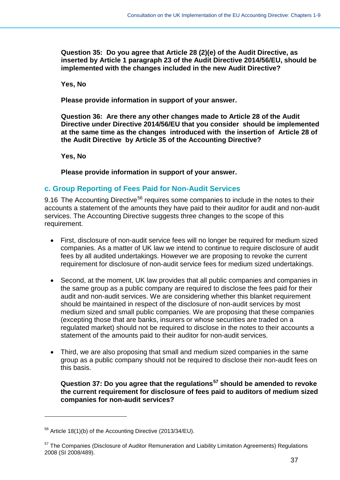**Question 35: Do you agree that Article 28 (2)(e) of the Audit Directive, as inserted by Article 1 paragraph 23 of the Audit Directive 2014/56/EU, should be implemented with the changes included in the new Audit Directive?**

**Yes, No**

**Please provide information in support of your answer.**

**Question 36: Are there any other changes made to Article 28 of the Audit Directive under Directive 2014/56/EU that you consider should be implemented at the same time as the changes introduced with the insertion of Article 28 of the Audit Directive by Article 35 of the Accounting Directive?**

**Yes, No** 

**Please provide information in support of your answer.**

### <span id="page-36-0"></span>**c. Group Reporting of Fees Paid for Non-Audit Services**

9.16 The Accounting Directive<sup>[56](#page-36-1)</sup> requires some companies to include in the notes to their accounts a statement of the amounts they have paid to their auditor for audit and non-audit services. The Accounting Directive suggests three changes to the scope of this requirement.

- First, disclosure of non-audit service fees will no longer be required for medium sized companies. As a matter of UK law we intend to continue to require disclosure of audit fees by all audited undertakings. However we are proposing to revoke the current requirement for disclosure of non-audit service fees for medium sized undertakings.
- Second, at the moment, UK law provides that all public companies and companies in the same group as a public company are required to disclose the fees paid for their audit and non-audit services. We are considering whether this blanket requirement should be maintained in respect of the disclosure of non-audit services by most medium sized and small public companies. We are proposing that these companies (excepting those that are banks, insurers or whose securities are traded on a regulated market) should not be required to disclose in the notes to their accounts a statement of the amounts paid to their auditor for non-audit services.
- Third, we are also proposing that small and medium sized companies in the same group as a public company should not be required to disclose their non-audit fees on this basis.

**Question 37: Do you agree that the regulations[57](#page-36-2) should be amended to revoke the current requirement for disclosure of fees paid to auditors of medium sized companies for non-audit services?**

<span id="page-36-1"></span> $56$  Article 18(1)(b) of the Accounting Directive (2013/34/EU).

<span id="page-36-2"></span><sup>&</sup>lt;sup>57</sup> The Companies (Disclosure of Auditor Remuneration and Liability Limitation Agreements) Regulations 2008 (SI 2008/489).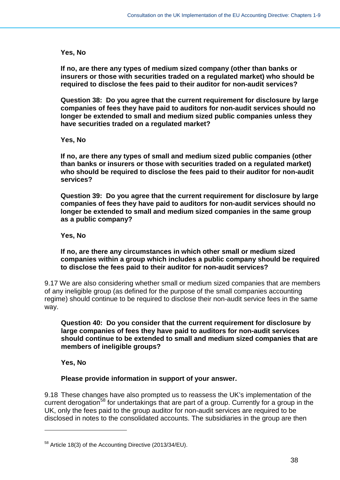#### **Yes, No**

**If no, are there any types of medium sized company (other than banks or insurers or those with securities traded on a regulated market) who should be required to disclose the fees paid to their auditor for non-audit services?**

**Question 38: Do you agree that the current requirement for disclosure by large companies of fees they have paid to auditors for non-audit services should no longer be extended to small and medium sized public companies unless they have securities traded on a regulated market?**

**Yes, No** 

**If no, are there any types of small and medium sized public companies (other than banks or insurers or those with securities traded on a regulated market) who should be required to disclose the fees paid to their auditor for non-audit services?**

**Question 39: Do you agree that the current requirement for disclosure by large companies of fees they have paid to auditors for non-audit services should no longer be extended to small and medium sized companies in the same group as a public company?**

**Yes, No** 

**If no, are there any circumstances in which other small or medium sized companies within a group which includes a public company should be required to disclose the fees paid to their auditor for non-audit services?**

9.17 We are also considering whether small or medium sized companies that are members of any ineligible group (as defined for the purpose of the small companies accounting regime) should continue to be required to disclose their non-audit service fees in the same way.

**Question 40: Do you consider that the current requirement for disclosure by large companies of fees they have paid to auditors for non-audit services should continue to be extended to small and medium sized companies that are members of ineligible groups?**

**Yes, No** 

-

#### **Please provide information in support of your answer.**

9.18 These changes have also prompted us to reassess the UK's implementation of the current derogation<sup>[58](#page-37-0)</sup> for undertakings that are part of a group. Currently for a group in the UK, only the fees paid to the group auditor for non-audit services are required to be disclosed in notes to the consolidated accounts. The subsidiaries in the group are then

<span id="page-37-0"></span><sup>58</sup> Article 18(3) of the Accounting Directive (2013/34/EU).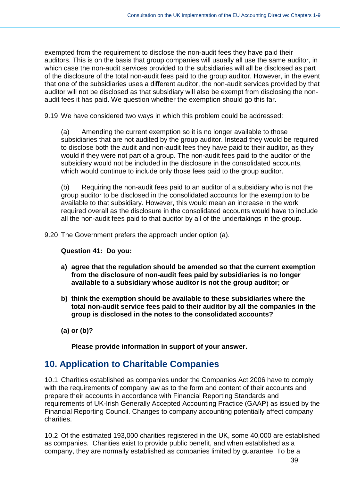exempted from the requirement to disclose the non-audit fees they have paid their auditors. This is on the basis that group companies will usually all use the same auditor, in which case the non-audit services provided to the subsidiaries will all be disclosed as part of the disclosure of the total non-audit fees paid to the group auditor. However, in the event that one of the subsidiaries uses a different auditor, the non-audit services provided by that auditor will not be disclosed as that subsidiary will also be exempt from disclosing the nonaudit fees it has paid. We question whether the exemption should go this far.

9.19 We have considered two ways in which this problem could be addressed:

(a) Amending the current exemption so it is no longer available to those subsidiaries that are not audited by the group auditor. Instead they would be required to disclose both the audit and non-audit fees they have paid to their auditor, as they would if they were not part of a group. The non-audit fees paid to the auditor of the subsidiary would not be included in the disclosure in the consolidated accounts, which would continue to include only those fees paid to the group auditor.

(b) Requiring the non-audit fees paid to an auditor of a subsidiary who is not the group auditor to be disclosed in the consolidated accounts for the exemption to be available to that subsidiary. However, this would mean an increase in the work required overall as the disclosure in the consolidated accounts would have to include all the non-audit fees paid to that auditor by all of the undertakings in the group.

9.20 The Government prefers the approach under option (a).

**Question 41: Do you:**

- **a) agree that the regulation should be amended so that the current exemption from the disclosure of non-audit fees paid by subsidiaries is no longer available to a subsidiary whose auditor is not the group auditor; or**
- **b) think the exemption should be available to these subsidiaries where the total non-audit service fees paid to their auditor by all the companies in the group is disclosed in the notes to the consolidated accounts?**
- **(a) or (b)?**

**Please provide information in support of your answer.**

# <span id="page-38-0"></span>**10. Application to Charitable Companies**

10.1 Charities established as companies under the Companies Act 2006 have to comply with the requirements of company law as to the form and content of their accounts and prepare their accounts in accordance with Financial Reporting Standards and requirements of UK-Irish Generally Accepted Accounting Practice (GAAP) as issued by the Financial Reporting Council. Changes to company accounting potentially affect company charities.

10.2 Of the estimated 193,000 charities registered in the UK, some 40,000 are established as companies. Charities exist to provide public benefit, and when established as a company, they are normally established as companies limited by guarantee. To be a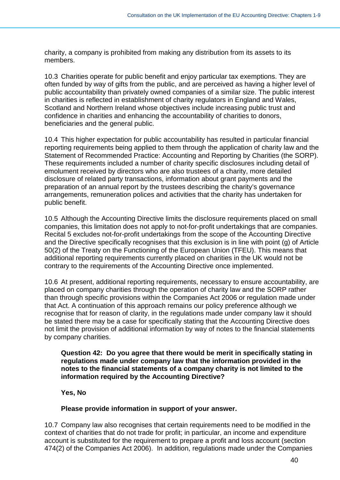charity, a company is prohibited from making any distribution from its assets to its members.

10.3 Charities operate for public benefit and enjoy particular tax exemptions. They are often funded by way of gifts from the public, and are perceived as having a higher level of public accountability than privately owned companies of a similar size. The public interest in charities is reflected in establishment of charity regulators in England and Wales, Scotland and Northern Ireland whose objectives include increasing public trust and confidence in charities and enhancing the accountability of charities to donors, beneficiaries and the general public.

10.4 This higher expectation for public accountability has resulted in particular financial reporting requirements being applied to them through the application of charity law and the Statement of Recommended Practice: Accounting and Reporting by Charities (the SORP). These requirements included a number of charity specific disclosures including detail of emolument received by directors who are also trustees of a charity, more detailed disclosure of related party transactions, information about grant payments and the preparation of an annual report by the trustees describing the charity's governance arrangements, remuneration polices and activities that the charity has undertaken for public benefit.

10.5 Although the Accounting Directive limits the disclosure requirements placed on small companies, this limitation does not apply to not-for-profit undertakings that are companies. Recital 5 excludes not-for-profit undertakings from the scope of the Accounting Directive and the Directive specifically recognises that this exclusion is in line with point (g) of Article 50(2) of the Treaty on the Functioning of the European Union (TFEU). This means that additional reporting requirements currently placed on charities in the UK would not be contrary to the requirements of the Accounting Directive once implemented.

10.6 At present, additional reporting requirements, necessary to ensure accountability, are placed on company charities through the operation of charity law and the SORP rather than through specific provisions within the Companies Act 2006 or regulation made under that Act. A continuation of this approach remains our policy preference although we recognise that for reason of clarity, in the regulations made under company law it should be stated there may be a case for specifically stating that the Accounting Directive does not limit the provision of additional information by way of notes to the financial statements by company charities.

**Question 42: Do you agree that there would be merit in specifically stating in regulations made under company law that the information provided in the notes to the financial statements of a company charity is not limited to the information required by the Accounting Directive?** 

**Yes, No**

#### **Please provide information in support of your answer.**

10.7 Company law also recognises that certain requirements need to be modified in the context of charities that do not trade for profit; in particular, an income and expenditure account is substituted for the requirement to prepare a profit and loss account (section 474(2) of the Companies Act 2006). In addition, regulations made under the Companies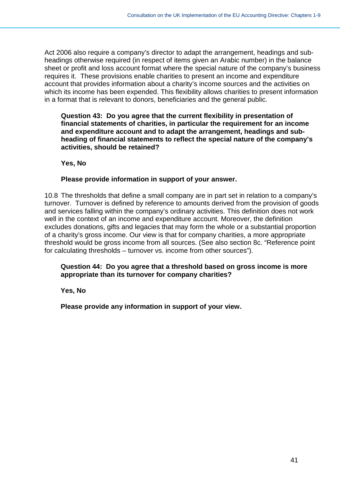Act 2006 also require a company's director to adapt the arrangement, headings and subheadings otherwise required (in respect of items given an Arabic number) in the balance sheet or profit and loss account format where the special nature of the company's business requires it. These provisions enable charities to present an income and expenditure account that provides information about a charity's income sources and the activities on which its income has been expended. This flexibility allows charities to present information in a format that is relevant to donors, beneficiaries and the general public.

#### **Question 43: Do you agree that the current flexibility in presentation of financial statements of charities, in particular the requirement for an income and expenditure account and to adapt the arrangement, headings and subheading of financial statements to reflect the special nature of the company's activities, should be retained?**

**Yes, No**

#### **Please provide information in support of your answer.**

10.8 The thresholds that define a small company are in part set in relation to a company's turnover. Turnover is defined by reference to amounts derived from the provision of goods and services falling within the company's ordinary activities. This definition does not work well in the context of an income and expenditure account. Moreover, the definition excludes donations, gifts and legacies that may form the whole or a substantial proportion of a charity's gross income. Our view is that for company charities, a more appropriate threshold would be gross income from all sources. (See also section 8c. "Reference point for calculating thresholds – turnover vs. income from other sources").

**Question 44: Do you agree that a threshold based on gross income is more appropriate than its turnover for company charities?**

**Yes, No**

**Please provide any information in support of your view.**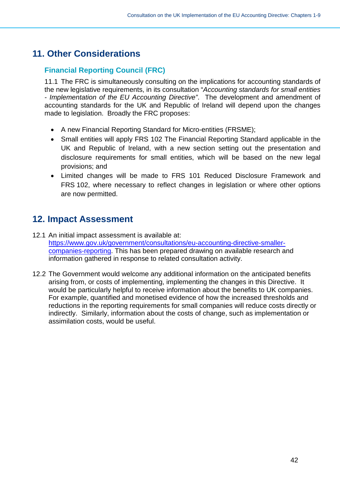# <span id="page-41-0"></span>**11. Other Considerations**

# <span id="page-41-1"></span>**Financial Reporting Council (FRC)**

11.1 The FRC is simultaneously consulting on the implications for accounting standards of the new legislative requirements, in its consultation "*Accounting standards for small entities - Implementation of the EU Accounting Directive"*. The development and amendment of accounting standards for the UK and Republic of Ireland will depend upon the changes made to legislation. Broadly the FRC proposes:

- A new Financial Reporting Standard for Micro-entities (FRSME);
- Small entities will apply FRS 102 The Financial Reporting Standard applicable in the UK and Republic of Ireland, with a new section setting out the presentation and disclosure requirements for small entities, which will be based on the new legal provisions; and
- Limited changes will be made to FRS 101 Reduced Disclosure Framework and FRS 102, where necessary to reflect changes in legislation or where other options are now permitted.

# <span id="page-41-2"></span>**12. Impact Assessment**

- 12.1 An initial impact assessment is available at: [https://www.gov.uk/government/consultations/eu-accounting-directive-smaller](https://www.gov.uk/government/consultations/eu-accounting-directive-smaller-companies-reporting)[companies-reporting.](https://www.gov.uk/government/consultations/eu-accounting-directive-smaller-companies-reporting) This has been prepared drawing on available research and information gathered in response to related consultation activity.
- <span id="page-41-3"></span>12.2 The Government would welcome any additional information on the anticipated benefits arising from, or costs of implementing, implementing the changes in this Directive. It would be particularly helpful to receive information about the benefits to UK companies. For example, quantified and monetised evidence of how the increased thresholds and reductions in the reporting requirements for small companies will reduce costs directly or indirectly. Similarly, information about the costs of change, such as implementation or assimilation costs, would be useful.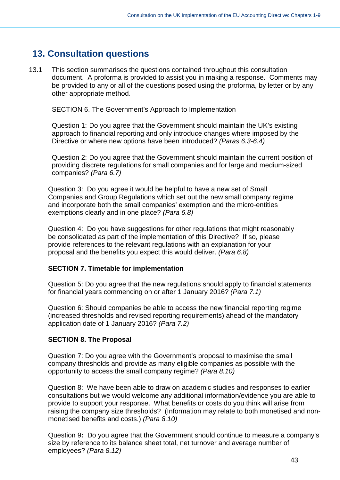# **13. Consultation questions**

13.1 This section summarises the questions contained throughout this consultation document. A proforma is provided to assist you in making a response. Comments may be provided to any or all of the questions posed using the proforma, by letter or by any other appropriate method.

SECTION 6. The Government's Approach to Implementation

Question 1: Do you agree that the Government should maintain the UK's existing approach to financial reporting and only introduce changes where imposed by the Directive or where new options have been introduced? *(Paras 6.3-6.4)*

Question 2: Do you agree that the Government should maintain the current position of providing discrete regulations for small companies and for large and medium-sized companies? *(Para 6.7)*

Question 3: Do you agree it would be helpful to have a new set of Small Companies and Group Regulations which set out the new small company regime and incorporate both the small companies' exemption and the micro-entities exemptions clearly and in one place? *(Para 6.8)*

Question 4: Do you have suggestions for other regulations that might reasonably be consolidated as part of the implementation of this Directive? If so, please provide references to the relevant regulations with an explanation for your proposal and the benefits you expect this would deliver. *(Para 6.8)*

#### **SECTION 7. Timetable for implementation**

Question 5: Do you agree that the new regulations should apply to financial statements for financial years commencing on or after 1 January 2016? *(Para 7.1)*

Question 6: Should companies be able to access the new financial reporting regime (increased thresholds and revised reporting requirements) ahead of the mandatory application date of 1 January 2016? *(Para 7.2)*

#### **SECTION 8. The Proposal**

Question 7: Do you agree with the Government's proposal to maximise the small company thresholds and provide as many eligible companies as possible with the opportunity to access the small company regime? *(Para 8.10)*

Question 8: We have been able to draw on academic studies and responses to earlier consultations but we would welcome any additional information/evidence you are able to provide to support your response. What benefits or costs do you think will arise from raising the company size thresholds? (Information may relate to both monetised and nonmonetised benefits and costs.) *(Para 8.10)*

Question 9**:** Do you agree that the Government should continue to measure a company's size by reference to its balance sheet total, net turnover and average number of employees? *(Para 8.12)*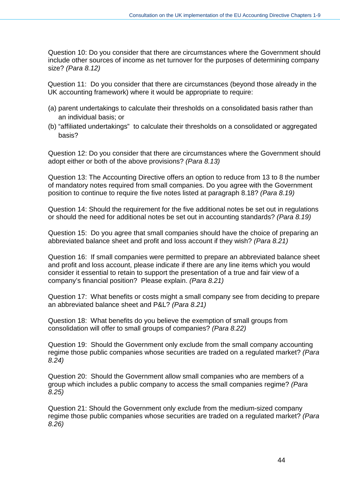Question 10: Do you consider that there are circumstances where the Government should include other sources of income as net turnover for the purposes of determining company size? *(Para 8.12)*

Question 11: Do you consider that there are circumstances (beyond those already in the UK accounting framework) where it would be appropriate to require:

- (a) parent undertakings to calculate their thresholds on a consolidated basis rather than an individual basis; or
- (b) "affiliated undertakings" to calculate their thresholds on a consolidated or aggregated basis?

Question 12: Do you consider that there are circumstances where the Government should adopt either or both of the above provisions? *(Para 8.13)*

Question 13: The Accounting Directive offers an option to reduce from 13 to 8 the number of mandatory notes required from small companies. Do you agree with the Government position to continue to require the five notes listed at paragraph 8.18? *(Para 8.19)*

Question 14: Should the requirement for the five additional notes be set out in regulations or should the need for additional notes be set out in accounting standards? *(Para 8.19)*

Question 15: Do you agree that small companies should have the choice of preparing an abbreviated balance sheet and profit and loss account if they wish? *(Para 8.21)*

Question 16: If small companies were permitted to prepare an abbreviated balance sheet and profit and loss account, please indicate if there are any line items which you would consider it essential to retain to support the presentation of a true and fair view of a company's financial position? Please explain. *(Para 8.21)*

Question 17: What benefits or costs might a small company see from deciding to prepare an abbreviated balance sheet and P&L? *(Para 8.21)*

Question 18: What benefits do you believe the exemption of small groups from consolidation will offer to small groups of companies? *(Para 8.22)*

Question 19: Should the Government only exclude from the small company accounting regime those public companies whose securities are traded on a regulated market? *(Para 8.24)*

Question 20: Should the Government allow small companies who are members of a group which includes a public company to access the small companies regime? *(Para 8.25)*

Question 21: Should the Government only exclude from the medium-sized company regime those public companies whose securities are traded on a regulated market? *(Para 8.26)*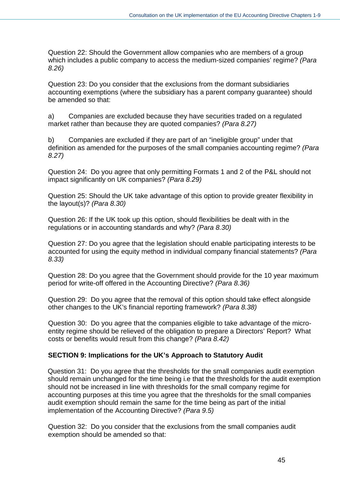Question 22: Should the Government allow companies who are members of a group which includes a public company to access the medium-sized companies' regime? *(Para 8.26)*

Question 23: Do you consider that the exclusions from the dormant subsidiaries accounting exemptions (where the subsidiary has a parent company guarantee) should be amended so that:

a) Companies are excluded because they have securities traded on a regulated market rather than because they are quoted companies? *(Para 8.27)*

b) Companies are excluded if they are part of an "ineligible group" under that definition as amended for the purposes of the small companies accounting regime? *(Para 8.27)*

Question 24: Do you agree that only permitting Formats 1 and 2 of the P&L should not impact significantly on UK companies? *(Para 8.29)*

Question 25: Should the UK take advantage of this option to provide greater flexibility in the layout(s)? *(Para 8.30)*

Question 26: If the UK took up this option, should flexibilities be dealt with in the regulations or in accounting standards and why? *(Para 8.30)*

Question 27: Do you agree that the legislation should enable participating interests to be accounted for using the equity method in individual company financial statements? *(Para 8.33)*

Question 28: Do you agree that the Government should provide for the 10 year maximum period for write-off offered in the Accounting Directive? *(Para 8.36)*

Question 29: Do you agree that the removal of this option should take effect alongside other changes to the UK's financial reporting framework? *(Para 8.38)*

Question 30: Do you agree that the companies eligible to take advantage of the microentity regime should be relieved of the obligation to prepare a Directors' Report? What costs or benefits would result from this change? *(Para 8.42)*

### **SECTION 9: Implications for the UK's Approach to Statutory Audit**

Question 31: Do you agree that the thresholds for the small companies audit exemption should remain unchanged for the time being i.e that the thresholds for the audit exemption should not be increased in line with thresholds for the small company regime for accounting purposes at this time you agree that the thresholds for the small companies audit exemption should remain the same for the time being as part of the initial implementation of the Accounting Directive? *(Para 9.5)*

Question 32: Do you consider that the exclusions from the small companies audit exemption should be amended so that: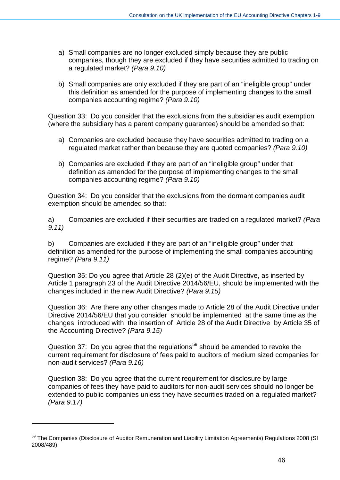- a) Small companies are no longer excluded simply because they are public companies, though they are excluded if they have securities admitted to trading on a regulated market? *(Para 9.10)*
- b) Small companies are only excluded if they are part of an "ineligible group" under this definition as amended for the purpose of implementing changes to the small companies accounting regime? *(Para 9.10)*

Question 33: Do you consider that the exclusions from the subsidiaries audit exemption (where the subsidiary has a parent company guarantee) should be amended so that:

- a) Companies are excluded because they have securities admitted to trading on a regulated market rather than because they are quoted companies? *(Para 9.10)*
- b) Companies are excluded if they are part of an "ineligible group" under that definition as amended for the purpose of implementing changes to the small companies accounting regime? *(Para 9.10)*

Question 34: Do you consider that the exclusions from the dormant companies audit exemption should be amended so that:

a) Companies are excluded if their securities are traded on a regulated market? *(Para 9.11)*

b) Companies are excluded if they are part of an "ineligible group" under that definition as amended for the purpose of implementing the small companies accounting regime? *(Para 9.11)*

Question 35: Do you agree that Article 28 (2)(e) of the Audit Directive, as inserted by Article 1 paragraph 23 of the Audit Directive 2014/56/EU, should be implemented with the changes included in the new Audit Directive? *(Para 9.15)*

Question 36: Are there any other changes made to Article 28 of the Audit Directive under Directive 2014/56/EU that you consider should be implemented at the same time as the changes introduced with the insertion of Article 28 of the Audit Directive by Article 35 of the Accounting Directive? *(Para 9.15)*

Question 37: Do you agree that the regulations<sup>[59](#page-45-0)</sup> should be amended to revoke the current requirement for disclosure of fees paid to auditors of medium sized companies for non-audit services? *(Para 9.16)*

Question 38: Do you agree that the current requirement for disclosure by large companies of fees they have paid to auditors for non-audit services should no longer be extended to public companies unless they have securities traded on a regulated market? *(Para 9.17)*

 $\overline{a}$ 

<span id="page-45-0"></span><sup>59</sup> The Companies (Disclosure of Auditor Remuneration and Liability Limitation Agreements) Regulations 2008 (SI 2008/489).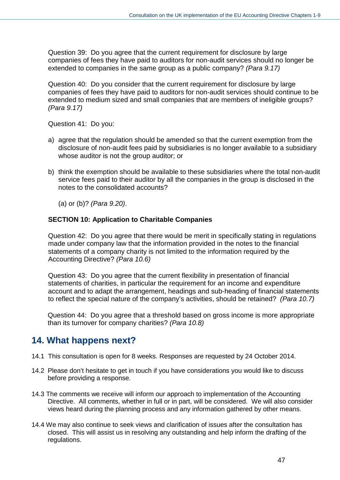Question 39: Do you agree that the current requirement for disclosure by large companies of fees they have paid to auditors for non-audit services should no longer be extended to companies in the same group as a public company? *(Para 9.17)*

Question 40: Do you consider that the current requirement for disclosure by large companies of fees they have paid to auditors for non-audit services should continue to be extended to medium sized and small companies that are members of ineligible groups? *(Para 9.17)*

Question 41: Do you:

- a) agree that the regulation should be amended so that the current exemption from the disclosure of non-audit fees paid by subsidiaries is no longer available to a subsidiary whose auditor is not the group auditor; or
- b) think the exemption should be available to these subsidiaries where the total non-audit service fees paid to their auditor by all the companies in the group is disclosed in the notes to the consolidated accounts?
	- (a) or (b)? *(Para 9.20)*.

#### **SECTION 10: Application to Charitable Companies**

Question 42: Do you agree that there would be merit in specifically stating in regulations made under company law that the information provided in the notes to the financial statements of a company charity is not limited to the information required by the Accounting Directive? *(Para 10.6)*

Question 43:Do you agree that the current flexibility in presentation of financial statements of charities, in particular the requirement for an income and expenditure account and to adapt the arrangement, headings and sub-heading of financial statements to reflect the special nature of the company's activities, should be retained? *(Para 10.7)*

Question 44:Do you agree that a threshold based on gross income is more appropriate than its turnover for company charities? *(Para 10.8)*

# <span id="page-46-0"></span>**14. What happens next?**

- 14.1 This consultation is open for 8 weeks. Responses are requested by 24 October 2014.
- 14.2 Please don't hesitate to get in touch if you have considerations you would like to discuss before providing a response.
- 14.3 The comments we receive will inform our approach to implementation of the Accounting Directive. All comments, whether in full or in part, will be considered. We will also consider views heard during the planning process and any information gathered by other means.
- 14.4 We may also continue to seek views and clarification of issues after the consultation has closed. This will assist us in resolving any outstanding and help inform the drafting of the regulations.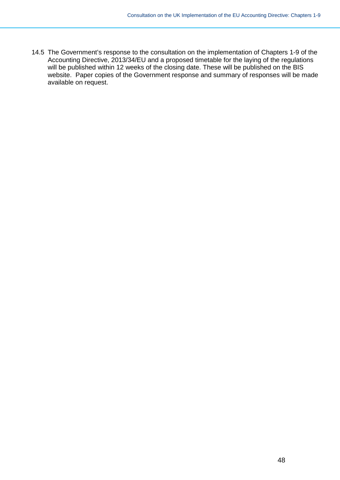14.5 The Government's response to the consultation on the implementation of Chapters 1-9 of the Accounting Directive, 2013/34/EU and a proposed timetable for the laying of the regulations will be published within 12 weeks of the closing date. These will be published on the BIS website. Paper copies of the Government response and summary of responses will be made available on request.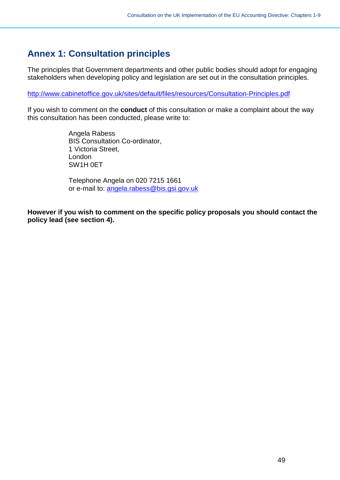# <span id="page-48-0"></span>**Annex 1: Consultation principles**

The principles that Government departments and other public bodies should adopt for engaging stakeholders when developing policy and legislation are set out in the consultation principles.

<http://www.cabinetoffice.gov.uk/sites/default/files/resources/Consultation-Principles.pdf>

If you wish to comment on the **conduct** of this consultation or make a complaint about the way this consultation has been conducted, please write to:

> Angela Rabess BIS Consultation Co-ordinator, 1 Victoria Street, London SW1H 0ET

Telephone Angela on 020 7215 1661 or e-mail to: [angela.rabess@bis.gsi.gov.uk](mailto:angela.rabess@bis.gsi.gov.uk) 

**However if you wish to comment on the specific policy proposals you should contact the policy lead (see section 4).**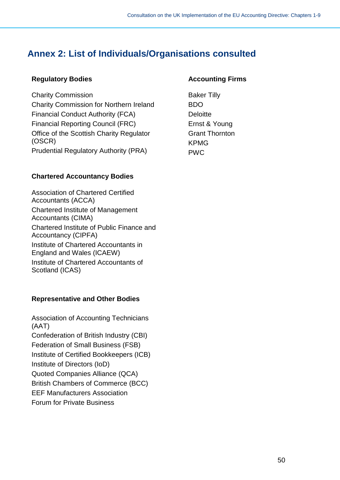# <span id="page-49-0"></span>**Annex 2: List of Individuals/Organisations consulted**

### **Regulatory Bodies**

Charity Commission Charity Commission for Northern Ireland Financial Conduct Authority (FCA) Financial Reporting Council (FRC) Office of the Scottish Charity Regulator (OSCR) Prudential Regulatory Authority (PRA)

# **Chartered Accountancy Bodies**

Association of Chartered Certified Accountants (ACCA) Chartered Institute of Management Accountants (CIMA) Chartered Institute of Public Finance and Accountancy (CIPFA) Institute of Chartered Accountants in England and Wales (ICAEW) Institute of Chartered Accountants of Scotland (ICAS)

# **Representative and Other Bodies**

Association of Accounting Technicians (AAT) Confederation of British Industry (CBI) Federation of Small Business (FSB) Institute of Certified Bookkeepers (ICB) Institute of Directors (IoD) Quoted Companies Alliance (QCA) British Chambers of Commerce (BCC) EEF Manufacturers Association Forum for Private Business

### **Accounting Firms**

Baker Tilly BDO **Deloitte** Ernst & Young Grant Thornton KPMG PWC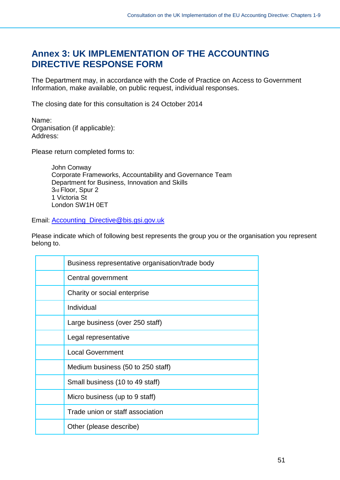# <span id="page-50-0"></span>**Annex 3: UK IMPLEMENTATION OF THE ACCOUNTING DIRECTIVE RESPONSE FORM**

The Department may, in accordance with the Code of Practice on Access to Government Information, make available, on public request, individual responses.

The closing date for this consultation is 24 October 2014

Name: Organisation (if applicable): Address:

Please return completed forms to:

John Conway Corporate Frameworks, Accountability and Governance Team Department for Business, Innovation and Skills 3rd Floor, Spur 2 1 Victoria St London SW1H 0ET

Email: [Accounting\\_Directive@bis.gsi.gov.uk](mailto:Accounting_Directive@bis.gsi.gov.uk)

Please indicate which of following best represents the group you or the organisation you represent belong to.

| Business representative organisation/trade body |
|-------------------------------------------------|
| Central government                              |
| Charity or social enterprise                    |
| Individual                                      |
| Large business (over 250 staff)                 |
| Legal representative                            |
| <b>Local Government</b>                         |
| Medium business (50 to 250 staff)               |
| Small business (10 to 49 staff)                 |
| Micro business (up to 9 staff)                  |
| Trade union or staff association                |
| Other (please describe)                         |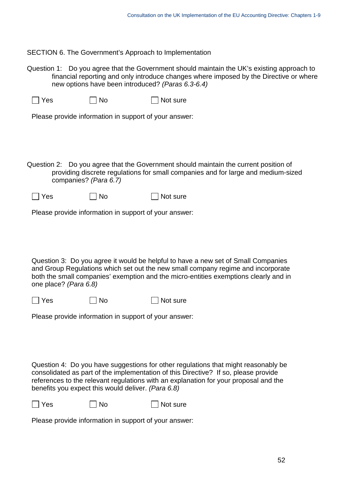SECTION 6. The Government's Approach to Implementation

Question 1: Do you agree that the Government should maintain the UK's existing approach to financial reporting and only introduce changes where imposed by the Directive or where new options have been introduced? *(Paras 6.3-6.4)*

| $\Box$ Yes | $\Box$ No | $\Box$ Not sure |
|------------|-----------|-----------------|
|------------|-----------|-----------------|

Please provide information in support of your answer:

Question 2: Do you agree that the Government should maintain the current position of providing discrete regulations for small companies and for large and medium-sized companies? *(Para 6.7)*

| $\Box$ Yes | $\Box$ No | $\Box$ Not sure |
|------------|-----------|-----------------|
|------------|-----------|-----------------|

Please provide information in support of your answer:

Question 3: Do you agree it would be helpful to have a new set of Small Companies and Group Regulations which set out the new small company regime and incorporate both the small companies' exemption and the micro-entities exemptions clearly and in one place? *(Para 6.8)*

 $\Box$  Yes  $\Box$  No  $\Box$  Not sure

Please provide information in support of your answer:

Question 4: Do you have suggestions for other regulations that might reasonably be consolidated as part of the implementation of this Directive? If so, please provide references to the relevant regulations with an explanation for your proposal and the benefits you expect this would deliver. *(Para 6.8)*

 $\Box$  Yes  $\Box$  No  $\Box$  Not sure

Please provide information in support of your answer: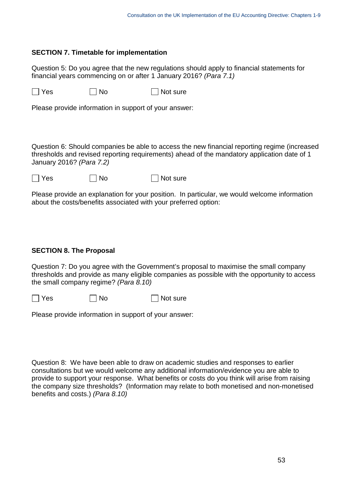#### **SECTION 7. Timetable for implementation**

Question 5: Do you agree that the new regulations should apply to financial statements for financial years commencing on or after 1 January 2016? *(Para 7.1)*

 $\Box$  Yes  $\Box$  No  $\Box$  Not sure

Please provide information in support of your answer:

Question 6: Should companies be able to access the new financial reporting regime (increased thresholds and revised reporting requirements) ahead of the mandatory application date of 1 January 2016? *(Para 7.2)*

| $\Box$ Yes | $\Box$ No | $\Box$ Not sure |
|------------|-----------|-----------------|
|------------|-----------|-----------------|

Please provide an explanation for your position. In particular, we would welcome information about the costs/benefits associated with your preferred option:

### **SECTION 8. The Proposal**

Question 7: Do you agree with the Government's proposal to maximise the small company thresholds and provide as many eligible companies as possible with the opportunity to access the small company regime? *(Para 8.10)*

 $\Box$  Yes  $\Box$  No  $\Box$  Not sure

Please provide information in support of your answer:

Question 8: We have been able to draw on academic studies and responses to earlier consultations but we would welcome any additional information/evidence you are able to provide to support your response. What benefits or costs do you think will arise from raising the company size thresholds? (Information may relate to both monetised and non-monetised benefits and costs.) *(Para 8.10)*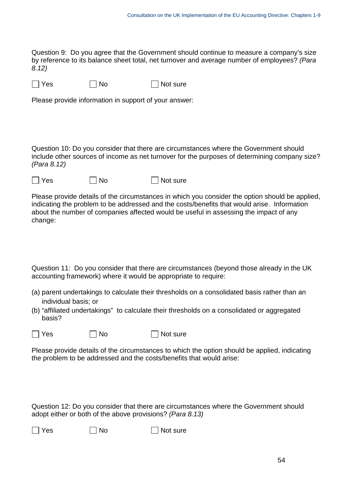Question 9: Do you agree that the Government should continue to measure a company's size by reference to its balance sheet total, net turnover and average number of employees? *(Para 8.12)*

| $\Box$ Yes | $\Box$ No | $\Box$ Not sure |
|------------|-----------|-----------------|
|------------|-----------|-----------------|

Please provide information in support of your answer:

Question 10: Do you consider that there are circumstances where the Government should include other sources of income as net turnover for the purposes of determining company size? *(Para 8.12)*

| $\Box$ Yes | $\Box$ No | $\Box$ Not sure |
|------------|-----------|-----------------|
|            |           |                 |

Please provide details of the circumstances in which you consider the option should be applied, indicating the problem to be addressed and the costs/benefits that would arise. Information about the number of companies affected would be useful in assessing the impact of any change:

Question 11: Do you consider that there are circumstances (beyond those already in the UK accounting framework) where it would be appropriate to require:

- (a) parent undertakings to calculate their thresholds on a consolidated basis rather than an individual basis; or
- (b) "affiliated undertakings" to calculate their thresholds on a consolidated or aggregated basis?

| $\Box$ Yes<br>$\Box$ No | $\Box$ Not sure |
|-------------------------|-----------------|
|-------------------------|-----------------|

Please provide details of the circumstances to which the option should be applied, indicating the problem to be addressed and the costs/benefits that would arise:

Question 12: Do you consider that there are circumstances where the Government should adopt either or both of the above provisions? *(Para 8.13)*

 $\Box$  Yes  $\Box$  No  $\Box$  Not sure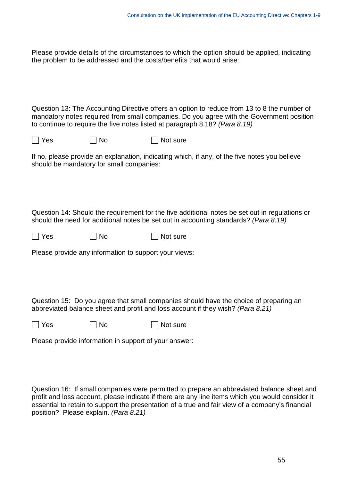Please provide details of the circumstances to which the option should be applied, indicating the problem to be addressed and the costs/benefits that would arise:

Question 13: The Accounting Directive offers an option to reduce from 13 to 8 the number of mandatory notes required from small companies. Do you agree with the Government position to continue to require the five notes listed at paragraph 8.18? *(Para 8.19)*

 $\Box$  Yes  $\Box$  No  $\Box$  Not sure

If no, please provide an explanation, indicating which, if any, of the five notes you believe should be mandatory for small companies:

Question 14: Should the requirement for the five additional notes be set out in regulations or should the need for additional notes be set out in accounting standards? *(Para 8.19)*

 $\Box$  Yes  $\Box$  No  $\Box$  Not sure

Please provide any information to support your views:

Question 15: Do you agree that small companies should have the choice of preparing an abbreviated balance sheet and profit and loss account if they wish? *(Para 8.21)*

 $\Box$  Yes  $\Box$  No  $\Box$  Not sure

Please provide information in support of your answer:

Question 16: If small companies were permitted to prepare an abbreviated balance sheet and profit and loss account, please indicate if there are any line items which you would consider it essential to retain to support the presentation of a true and fair view of a company's financial position? Please explain. *(Para 8.21)*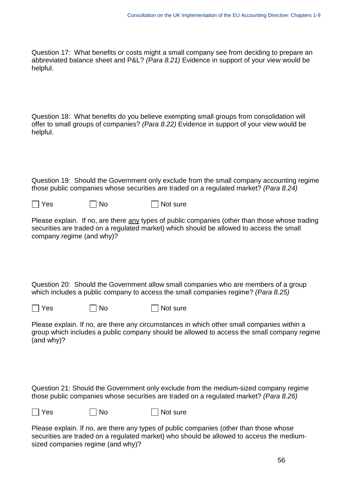Question 17: What benefits or costs might a small company see from deciding to prepare an abbreviated balance sheet and P&L? *(Para 8.21)* Evidence in support of your view would be helpful.

Question 18: What benefits do you believe exempting small groups from consolidation will offer to small groups of companies? *(Para 8.22)* Evidence in support of your view would be helpful.

Question 19: Should the Government only exclude from the small company accounting regime those public companies whose securities are traded on a regulated market? *(Para 8.24)*

 $\Box$  Yes  $\Box$  No  $\Box$  Not sure

Please explain. If no, are there any types of public companies (other than those whose trading securities are traded on a regulated market) which should be allowed to access the small company regime (and why)?

Question 20: Should the Government allow small companies who are members of a group which includes a public company to access the small companies regime? *(Para 8.25)*

 $\Box$  Yes  $\Box$  No  $\Box$  Not sure

Please explain. If no, are there any circumstances in which other small companies within a group which includes a public company should be allowed to access the small company regime (and why)?

Question 21: Should the Government only exclude from the medium-sized company regime those public companies whose securities are traded on a regulated market? *(Para 8.26)*

 $\Box$  Yes  $\Box$  No  $\Box$  Not sure

Please explain. If no, are there any types of public companies (other than those whose securities are traded on a regulated market) who should be allowed to access the mediumsized companies regime (and why)?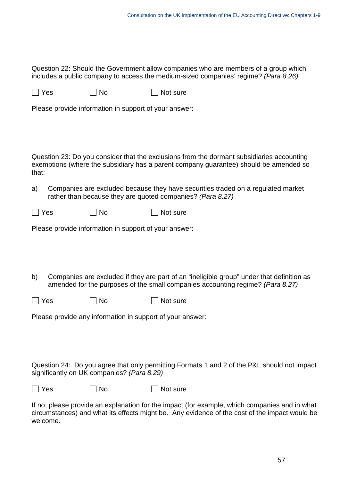Question 22: Should the Government allow companies who are members of a group which includes a public company to access the medium-sized companies' regime? *(Para 8.26)*

| $\Box$ Yes | $\Box$ No | $\Box$ Not sure |
|------------|-----------|-----------------|
|------------|-----------|-----------------|

Please provide information in support of your answer:

Question 23: Do you consider that the exclusions from the dormant subsidiaries accounting exemptions (where the subsidiary has a parent company guarantee) should be amended so that:

a) Companies are excluded because they have securities traded on a regulated market rather than because they are quoted companies? *(Para 8.27)*

| $\Box$ Yes | $\Box$ No | $\Box$ Not sure |
|------------|-----------|-----------------|
|------------|-----------|-----------------|

Please provide information in support of your answer:

b) Companies are excluded if they are part of an "ineligible group" under that definition as amended for the purposes of the small companies accounting regime? *(Para 8.27)*

| $\Box$ Yes | $\Box$ No | $\Box$ Not sure |
|------------|-----------|-----------------|
|------------|-----------|-----------------|

Please provide any information in support of your answer:

Question 24: Do you agree that only permitting Formats 1 and 2 of the P&L should not impact significantly on UK companies? *(Para 8.29)*

| ×<br>۰. |
|---------|
|---------|

 $\Box$  No  $\Box$  Not sure

If no, please provide an explanation for the impact (for example, which companies and in what circumstances) and what its effects might be. Any evidence of the cost of the impact would be welcome.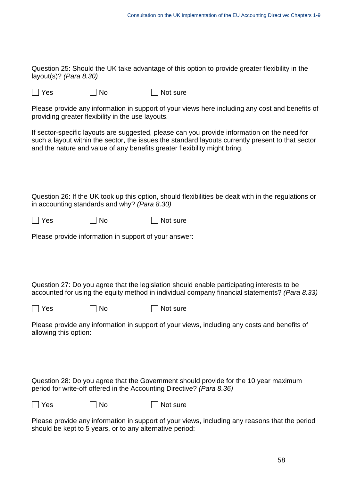Question 25: Should the UK take advantage of this option to provide greater flexibility in the layout(s)? *(Para 8.30)*

 $\Box$  Yes  $\Box$  No  $\Box$  Not sure

Please provide any information in support of your views here including any cost and benefits of providing greater flexibility in the use layouts.

If sector-specific layouts are suggested, please can you provide information on the need for such a layout within the sector, the issues the standard layouts currently present to that sector and the nature and value of any benefits greater flexibility might bring.

Question 26: If the UK took up this option, should flexibilities be dealt with in the regulations or in accounting standards and why? *(Para 8.30)*

| $\Box$ Yes | $\Box$ No | $\Box$ Not sure |
|------------|-----------|-----------------|
|------------|-----------|-----------------|

Please provide information in support of your answer:

Question 27: Do you agree that the legislation should enable participating interests to be accounted for using the equity method in individual company financial statements? *(Para 8.33)*

 $\Box$  Yes  $\Box$  No  $\Box$  Not sure

Please provide any information in support of your views, including any costs and benefits of allowing this option:

Question 28: Do you agree that the Government should provide for the 10 year maximum period for write-off offered in the Accounting Directive? *(Para 8.36)*

 $\Box$  Yes  $\Box$  No  $\Box$  Not sure

Please provide any information in support of your views, including any reasons that the period should be kept to 5 years, or to any alternative period: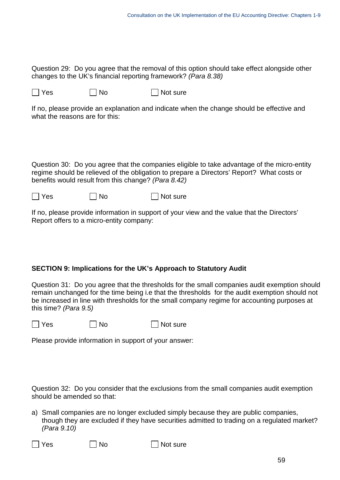Question 29: Do you agree that the removal of this option should take effect alongside other changes to the UK's financial reporting framework? *(Para 8.38)*

 $\Box$  Yes  $\Box$  No  $\Box$  Not sure

If no, please provide an explanation and indicate when the change should be effective and what the reasons are for this:

Question 30: Do you agree that the companies eligible to take advantage of the micro-entity regime should be relieved of the obligation to prepare a Directors' Report? What costs or benefits would result from this change? *(Para 8.42)*

 $\Box$  Yes  $\Box$  No  $\Box$  Not sure

If no, please provide information in support of your view and the value that the Directors' Report offers to a micro-entity company:

### **SECTION 9: Implications for the UK's Approach to Statutory Audit**

Question 31: Do you agree that the thresholds for the small companies audit exemption should remain unchanged for the time being i.e that the thresholds for the audit exemption should not be increased in line with thresholds for the small company regime for accounting purposes at this time? *(Para 9.5)*

 $\Box$  Yes  $\Box$  No  $\Box$  Not sure

Please provide information in support of your answer:

Question 32: Do you consider that the exclusions from the small companies audit exemption should be amended so that:

a) Small companies are no longer excluded simply because they are public companies, though they are excluded if they have securities admitted to trading on a regulated market? *(Para 9.10)*

 $\Box$  Yes  $\Box$  No  $\Box$  Not sure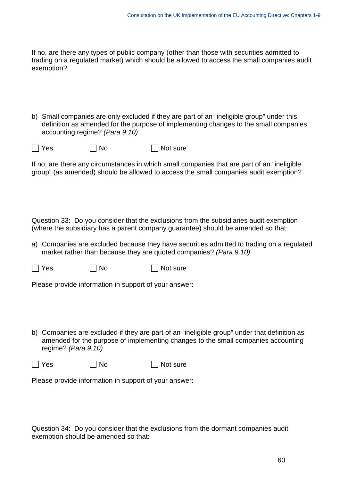If no, are there any types of public company (other than those with securities admitted to trading on a regulated market) which should be allowed to access the small companies audit exemption?

b) Small companies are only excluded if they are part of an "ineligible group" under this definition as amended for the purpose of implementing changes to the small companies accounting regime? *(Para 9.10)*

 $\Box$  Yes  $\Box$  No  $\Box$  Not sure

If no, are there any circumstances in which small companies that are part of an "ineligible group" (as amended) should be allowed to access the small companies audit exemption?

Question 33: Do you consider that the exclusions from the subsidiaries audit exemption (where the subsidiary has a parent company guarantee) should be amended so that:

a) Companies are excluded because they have securities admitted to trading on a regulated market rather than because they are quoted companies? *(Para 9.10)*

 $\Box$  Yes  $\Box$  No  $\Box$  Not sure

Please provide information in support of your answer:

b) Companies are excluded if they are part of an "ineligible group" under that definition as amended for the purpose of implementing changes to the small companies accounting regime? *(Para 9.10)*

 $\Box$  Yes  $\Box$  No  $\Box$  Not sure

Please provide information in support of your answer:

Question 34: Do you consider that the exclusions from the dormant companies audit exemption should be amended so that: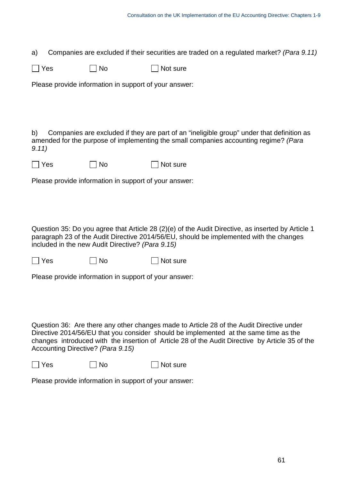a) Companies are excluded if their securities are traded on a regulated market? *(Para 9.11)*

| $\Box$ Yes | $\Box$ No | $\Box$ Not sure |
|------------|-----------|-----------------|
|------------|-----------|-----------------|

Please provide information in support of your answer:

b) Companies are excluded if they are part of an "ineligible group" under that definition as amended for the purpose of implementing the small companies accounting regime? *(Para 9.11)*

| $\Box$ Yes | $\Box$ No | $\Box$ Not sure |
|------------|-----------|-----------------|
|------------|-----------|-----------------|

Please provide information in support of your answer:

Question 35: Do you agree that Article 28 (2)(e) of the Audit Directive, as inserted by Article 1 paragraph 23 of the Audit Directive 2014/56/EU, should be implemented with the changes included in the new Audit Directive? *(Para 9.15)*

 $\Box$  Yes  $\Box$  No  $\Box$  Not sure

Please provide information in support of your answer:

Question 36: Are there any other changes made to Article 28 of the Audit Directive under Directive 2014/56/EU that you consider should be implemented at the same time as the changes introduced with the insertion of Article 28 of the Audit Directive by Article 35 of the Accounting Directive? *(Para 9.15)*

 $\Box$  Yes  $\Box$  No  $\Box$  Not sure

Please provide information in support of your answer: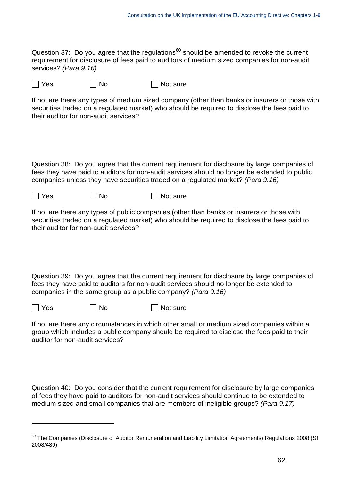Question 37: Do you agree that the regulations $60$  should be amended to revoke the current requirement for disclosure of fees paid to auditors of medium sized companies for non-audit services? *(Para 9.16)*

 $\Box$  Yes  $\Box$  No  $\Box$  Not sure

If no, are there any types of medium sized company (other than banks or insurers or those with securities traded on a regulated market) who should be required to disclose the fees paid to their auditor for non-audit services?

Question 38: Do you agree that the current requirement for disclosure by large companies of fees they have paid to auditors for non-audit services should no longer be extended to public companies unless they have securities traded on a regulated market? *(Para 9.16)*

 $\Box$  Yes  $\Box$  No  $\Box$  Not sure

If no, are there any types of public companies (other than banks or insurers or those with securities traded on a regulated market) who should be required to disclose the fees paid to their auditor for non-audit services?

Question 39: Do you agree that the current requirement for disclosure by large companies of fees they have paid to auditors for non-audit services should no longer be extended to companies in the same group as a public company? *(Para 9.16)*

 $\overline{a}$ 

No Not sure Not sure Not sure

If no, are there any circumstances in which other small or medium sized companies within a group which includes a public company should be required to disclose the fees paid to their auditor for non-audit services?

Question 40: Do you consider that the current requirement for disclosure by large companies of fees they have paid to auditors for non-audit services should continue to be extended to medium sized and small companies that are members of ineligible groups? *(Para 9.17)*

<span id="page-61-0"></span><sup>&</sup>lt;sup>60</sup> The Companies (Disclosure of Auditor Remuneration and Liability Limitation Agreements) Regulations 2008 (SI 2008/489)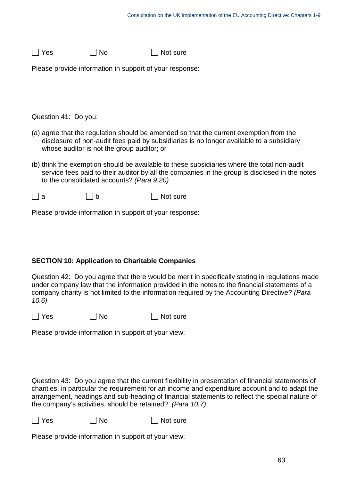| $\Box$ Not sure | $\Box$ No | $\Box$ Yes |
|-----------------|-----------|------------|
|                 |           |            |

Please provide information in support of your response:

Question 41: Do you:

- (a) agree that the regulation should be amended so that the current exemption from the disclosure of non-audit fees paid by subsidiaries is no longer available to a subsidiary whose auditor is not the group auditor; or
- (b) think the exemption should be available to these subsidiaries where the total non-audit service fees paid to their auditor by all the companies in the group is disclosed in the notes to the consolidated accounts? *(Para 9.20)*
- $\Box$  a  $\Box$  b  $\Box$  Not sure

Please provide information in support of your response:

#### **SECTION 10: Application to Charitable Companies**

Question 42: Do you agree that there would be merit in specifically stating in regulations made under company law that the information provided in the notes to the financial statements of a company charity is not limited to the information required by the Accounting Directive? *(Para 10.6)*

 $\Box$  Yes  $\Box$  No  $\Box$  Not sure

Please provide information in support of your view:

Question 43:Do you agree that the current flexibility in presentation of financial statements of charities, in particular the requirement for an income and expenditure account and to adapt the arrangement, headings and sub-heading of financial statements to reflect the special nature of the company's activities, should be retained? *(Para 10.7)*

No Not sure Not sure

Please provide information in support of your view: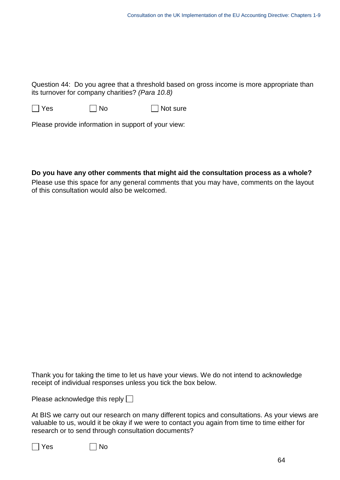Question 44:Do you agree that a threshold based on gross income is more appropriate than its turnover for company charities? *(Para 10.8)*

 $\Box$  Yes  $\Box$  No  $\Box$  Not sure

Please provide information in support of your view:

**Do you have any other comments that might aid the consultation process as a whole?** Please use this space for any general comments that you may have, comments on the layout of this consultation would also be welcomed.

Thank you for taking the time to let us have your views. We do not intend to acknowledge receipt of individual responses unless you tick the box below.

Please acknowledge this reply  $\Box$ 

At BIS we carry out our research on many different topics and consultations. As your views are valuable to us, would it be okay if we were to contact you again from time to time either for research or to send through consultation documents?

|--|--|

 $\exists$  No